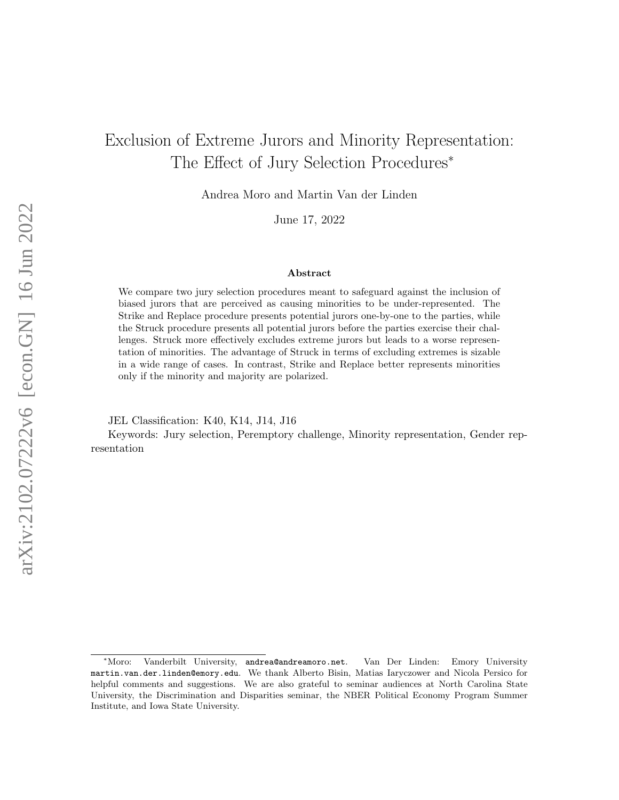# Exclusion of Extreme Jurors and Minority Representation: The Effect of Jury Selection Procedures<sup>∗</sup>

Andrea Moro and Martin Van der Linden

June 17, 2022

#### Abstract

We compare two jury selection procedures meant to safeguard against the inclusion of biased jurors that are perceived as causing minorities to be under-represented. The Strike and Replace procedure presents potential jurors one-by-one to the parties, while the Struck procedure presents all potential jurors before the parties exercise their challenges. Struck more effectively excludes extreme jurors but leads to a worse representation of minorities. The advantage of Struck in terms of excluding extremes is sizable in a wide range of cases. In contrast, Strike and Replace better represents minorities only if the minority and majority are polarized.

JEL Classification: K40, K14, J14, J16

Keywords: Jury selection, Peremptory challenge, Minority representation, Gender representation

<sup>∗</sup>Moro: Vanderbilt University, andrea@andreamoro.net. Van Der Linden: Emory University martin.van.der.linden@emory.edu. We thank Alberto Bisin, Matias Iaryczower and Nicola Persico for helpful comments and suggestions. We are also grateful to seminar audiences at North Carolina State University, the Discrimination and Disparities seminar, the NBER Political Economy Program Summer Institute, and Iowa State University.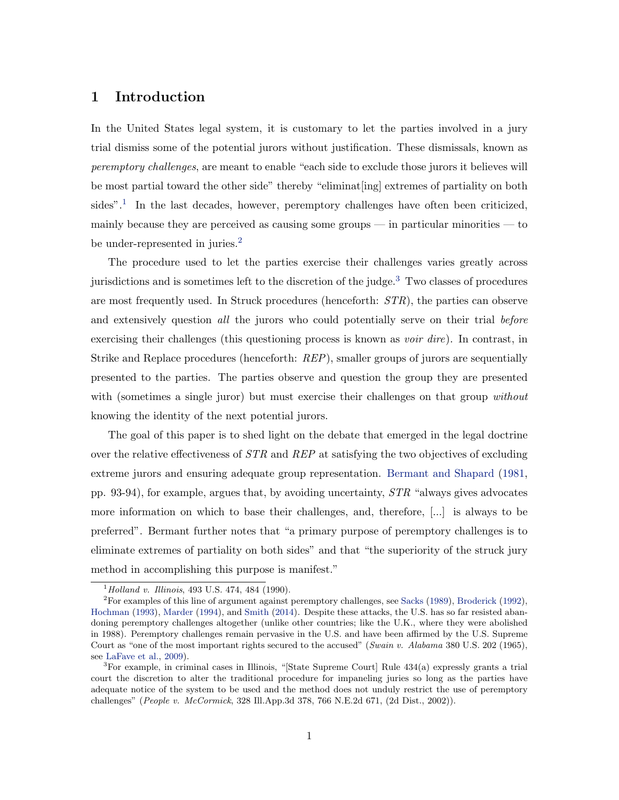## 1 Introduction

In the United States legal system, it is customary to let the parties involved in a jury trial dismiss some of the potential jurors without justification. These dismissals, known as peremptory challenges, are meant to enable "each side to exclude those jurors it believes will be most partial toward the other side" thereby "eliminat[ing] extremes of partiality on both sides".<sup>1</sup> In the last decades, however, peremptory challenges have often been criticized, mainly because they are perceived as causing some groups — in particular minorities — to be under-represented in juries. $<sup>2</sup>$ </sup>

The procedure used to let the parties exercise their challenges varies greatly across jurisdictions and is sometimes left to the discretion of the judge. $3$  Two classes of procedures are most frequently used. In Struck procedures (henceforth: STR), the parties can observe and extensively question all the jurors who could potentially serve on their trial before exercising their challenges (this questioning process is known as *voir dire*). In contrast, in Strike and Replace procedures (henceforth: REP), smaller groups of jurors are sequentially presented to the parties. The parties observe and question the group they are presented with (sometimes a single juror) but must exercise their challenges on that group without knowing the identity of the next potential jurors.

The goal of this paper is to shed light on the debate that emerged in the legal doctrine over the relative effectiveness of STR and REP at satisfying the two objectives of excluding extreme jurors and ensuring adequate group representation. Bermant and Shapard (1981, pp. 93-94), for example, argues that, by avoiding uncertainty,  $STR$  "always gives advocates more information on which to base their challenges, and, therefore, [...] is always to be preferred". Bermant further notes that "a primary purpose of peremptory challenges is to eliminate extremes of partiality on both sides" and that "the superiority of the struck jury method in accomplishing this purpose is manifest."

 $1$ <sup>1</sup>Holland v. Illinois, 493 U.S. 474, 484 (1990).

 ${}^{2}$ For examples of this line of argument against peremptory challenges, see Sacks (1989), Broderick (1992), Hochman (1993), Marder (1994), and Smith (2014). Despite these attacks, the U.S. has so far resisted abandoning peremptory challenges altogether (unlike other countries; like the U.K., where they were abolished in 1988). Peremptory challenges remain pervasive in the U.S. and have been affirmed by the U.S. Supreme Court as "one of the most important rights secured to the accused" (Swain v. Alabama 380 U.S. 202 (1965), see LaFave et al., 2009).

<sup>3</sup>For example, in criminal cases in Illinois, "[State Supreme Court] Rule 434(a) expressly grants a trial court the discretion to alter the traditional procedure for impaneling juries so long as the parties have adequate notice of the system to be used and the method does not unduly restrict the use of peremptory challenges" (People v. McCormick, 328 Ill.App.3d 378, 766 N.E.2d 671, (2d Dist., 2002)).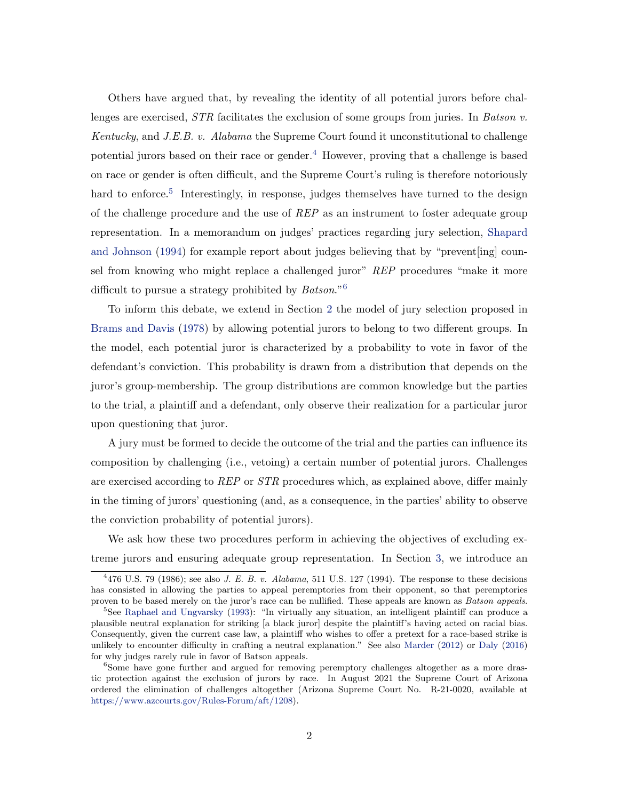Others have argued that, by revealing the identity of all potential jurors before challenges are exercised,  $STR$  facilitates the exclusion of some groups from juries. In Batson v. Kentucky, and J.E.B. v. Alabama the Supreme Court found it unconstitutional to challenge potential jurors based on their race or gender.<sup>4</sup> However, proving that a challenge is based on race or gender is often difficult, and the Supreme Court's ruling is therefore notoriously hard to enforce.<sup>5</sup> Interestingly, in response, judges themselves have turned to the design of the challenge procedure and the use of REP as an instrument to foster adequate group representation. In a memorandum on judges' practices regarding jury selection, Shapard and Johnson (1994) for example report about judges believing that by "prevent[ing] counsel from knowing who might replace a challenged juror" REP procedures "make it more difficult to pursue a strategy prohibited by  $Batson.^{6}$ 

To inform this debate, we extend in Section 2 the model of jury selection proposed in Brams and Davis (1978) by allowing potential jurors to belong to two different groups. In the model, each potential juror is characterized by a probability to vote in favor of the defendant's conviction. This probability is drawn from a distribution that depends on the juror's group-membership. The group distributions are common knowledge but the parties to the trial, a plaintiff and a defendant, only observe their realization for a particular juror upon questioning that juror.

A jury must be formed to decide the outcome of the trial and the parties can influence its composition by challenging (i.e., vetoing) a certain number of potential jurors. Challenges are exercised according to REP or STR procedures which, as explained above, differ mainly in the timing of jurors' questioning (and, as a consequence, in the parties' ability to observe the conviction probability of potential jurors).

We ask how these two procedures perform in achieving the objectives of excluding extreme jurors and ensuring adequate group representation. In Section 3, we introduce an

 $4476$  U.S. 79 (1986); see also J. E. B. v. Alabama, 511 U.S. 127 (1994). The response to these decisions has consisted in allowing the parties to appeal peremptories from their opponent, so that peremptories proven to be based merely on the juror's race can be nullified. These appeals are known as Batson appeals.

<sup>5</sup>See Raphael and Ungvarsky (1993): "In virtually any situation, an intelligent plaintiff can produce a plausible neutral explanation for striking [a black juror] despite the plaintiff's having acted on racial bias. Consequently, given the current case law, a plaintiff who wishes to offer a pretext for a race-based strike is unlikely to encounter difficulty in crafting a neutral explanation." See also Marder (2012) or Daly (2016) for why judges rarely rule in favor of Batson appeals.

 $6$ Some have gone further and argued for removing peremptory challenges altogether as a more drastic protection against the exclusion of jurors by race. In August 2021 the Supreme Court of Arizona ordered the elimination of challenges altogether (Arizona Supreme Court No. R-21-0020, available at https://www.azcourts.gov/Rules-Forum/aft/1208).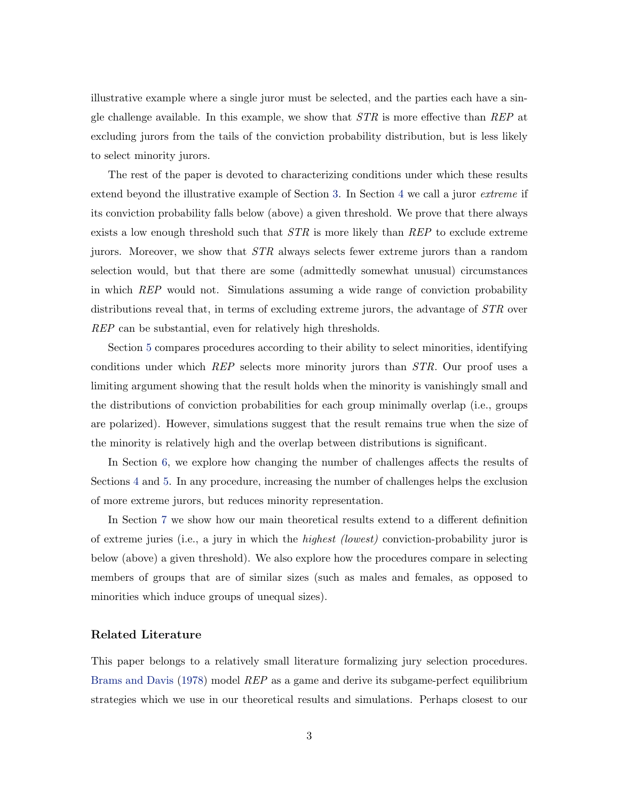illustrative example where a single juror must be selected, and the parties each have a single challenge available. In this example, we show that  $STR$  is more effective than REP at excluding jurors from the tails of the conviction probability distribution, but is less likely to select minority jurors.

The rest of the paper is devoted to characterizing conditions under which these results extend beyond the illustrative example of Section 3. In Section 4 we call a juror *extreme* if its conviction probability falls below (above) a given threshold. We prove that there always exists a low enough threshold such that  $STR$  is more likely than  $REP$  to exclude extreme jurors. Moreover, we show that STR always selects fewer extreme jurors than a random selection would, but that there are some (admittedly somewhat unusual) circumstances in which REP would not. Simulations assuming a wide range of conviction probability distributions reveal that, in terms of excluding extreme jurors, the advantage of STR over REP can be substantial, even for relatively high thresholds.

Section 5 compares procedures according to their ability to select minorities, identifying conditions under which REP selects more minority jurors than STR. Our proof uses a limiting argument showing that the result holds when the minority is vanishingly small and the distributions of conviction probabilities for each group minimally overlap (i.e., groups are polarized). However, simulations suggest that the result remains true when the size of the minority is relatively high and the overlap between distributions is significant.

In Section 6, we explore how changing the number of challenges affects the results of Sections 4 and 5. In any procedure, increasing the number of challenges helps the exclusion of more extreme jurors, but reduces minority representation.

In Section 7 we show how our main theoretical results extend to a different definition of extreme juries (i.e., a jury in which the highest (lowest) conviction-probability juror is below (above) a given threshold). We also explore how the procedures compare in selecting members of groups that are of similar sizes (such as males and females, as opposed to minorities which induce groups of unequal sizes).

#### Related Literature

This paper belongs to a relatively small literature formalizing jury selection procedures. Brams and Davis (1978) model REP as a game and derive its subgame-perfect equilibrium strategies which we use in our theoretical results and simulations. Perhaps closest to our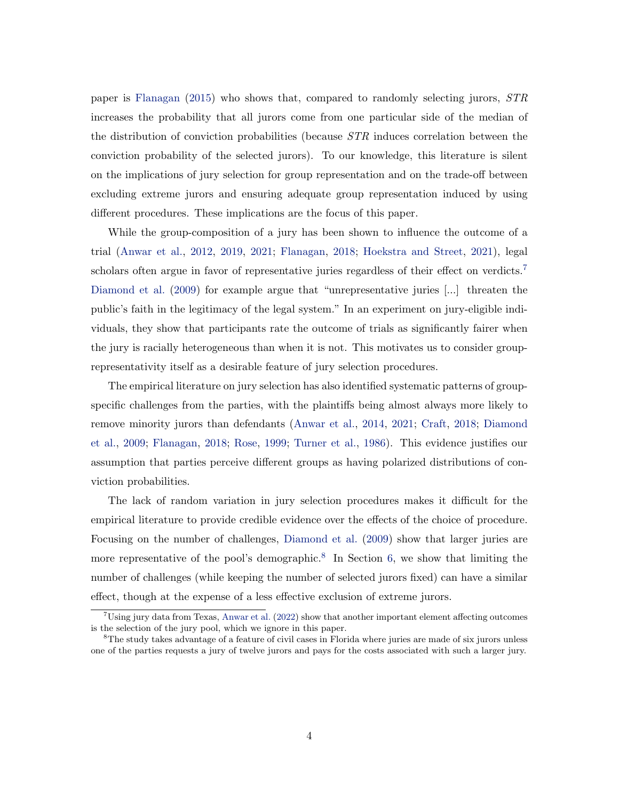paper is Flanagan (2015) who shows that, compared to randomly selecting jurors, STR increases the probability that all jurors come from one particular side of the median of the distribution of conviction probabilities (because STR induces correlation between the conviction probability of the selected jurors). To our knowledge, this literature is silent on the implications of jury selection for group representation and on the trade-off between excluding extreme jurors and ensuring adequate group representation induced by using different procedures. These implications are the focus of this paper.

While the group-composition of a jury has been shown to influence the outcome of a trial (Anwar et al., 2012, 2019, 2021; Flanagan, 2018; Hoekstra and Street, 2021), legal scholars often argue in favor of representative juries regardless of their effect on verdicts.<sup>7</sup> Diamond et al. (2009) for example argue that "unrepresentative juries [...] threaten the public's faith in the legitimacy of the legal system." In an experiment on jury-eligible individuals, they show that participants rate the outcome of trials as significantly fairer when the jury is racially heterogeneous than when it is not. This motivates us to consider grouprepresentativity itself as a desirable feature of jury selection procedures.

The empirical literature on jury selection has also identified systematic patterns of groupspecific challenges from the parties, with the plaintiffs being almost always more likely to remove minority jurors than defendants (Anwar et al., 2014, 2021; Craft, 2018; Diamond et al., 2009; Flanagan, 2018; Rose, 1999; Turner et al., 1986). This evidence justifies our assumption that parties perceive different groups as having polarized distributions of conviction probabilities.

The lack of random variation in jury selection procedures makes it difficult for the empirical literature to provide credible evidence over the effects of the choice of procedure. Focusing on the number of challenges, Diamond et al. (2009) show that larger juries are more representative of the pool's demographic.<sup>8</sup> In Section 6, we show that limiting the number of challenges (while keeping the number of selected jurors fixed) can have a similar effect, though at the expense of a less effective exclusion of extreme jurors.

<sup>7</sup>Using jury data from Texas, Anwar et al. (2022) show that another important element affecting outcomes is the selection of the jury pool, which we ignore in this paper.

<sup>&</sup>lt;sup>8</sup>The study takes advantage of a feature of civil cases in Florida where juries are made of six jurors unless one of the parties requests a jury of twelve jurors and pays for the costs associated with such a larger jury.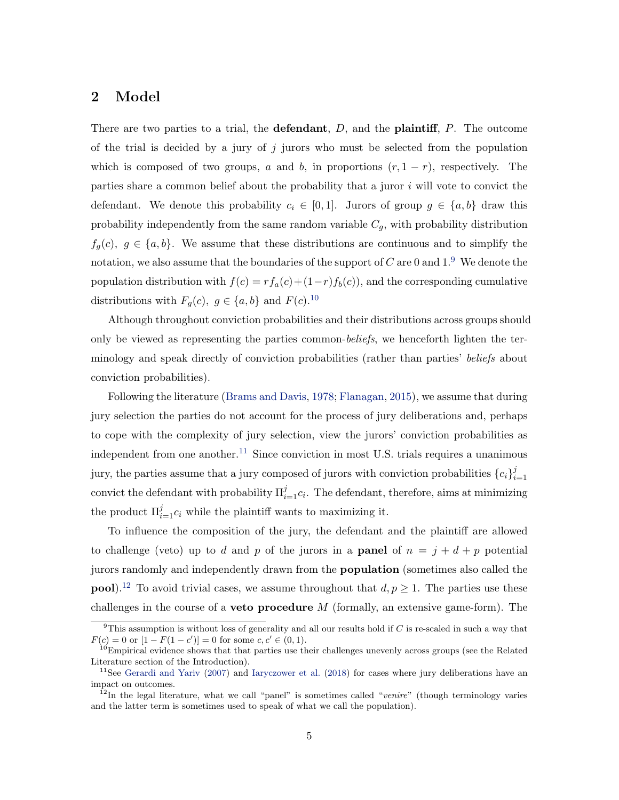## 2 Model

There are two parties to a trial, the **defendant**,  $D$ , and the **plaintiff**,  $P$ . The outcome of the trial is decided by a jury of  $j$  jurors who must be selected from the population which is composed of two groups, a and b, in proportions  $(r, 1 - r)$ , respectively. The parties share a common belief about the probability that a juror i will vote to convict the defendant. We denote this probability  $c_i \in [0,1]$ . Jurors of group  $g \in \{a, b\}$  draw this probability independently from the same random variable  $C_q$ , with probability distribution  $f_q(c)$ ,  $g \in \{a, b\}$ . We assume that these distributions are continuous and to simplify the notation, we also assume that the boundaries of the support of C are 0 and  $1<sup>9</sup>$  We denote the population distribution with  $f(c) = rf_a(c) + (1-r)f_b(c)$ , and the corresponding cumulative distributions with  $F_g(c)$ ,  $g \in \{a, b\}$  and  $F(c)$ .<sup>10</sup>

Although throughout conviction probabilities and their distributions across groups should only be viewed as representing the parties common-beliefs, we henceforth lighten the terminology and speak directly of conviction probabilities (rather than parties' beliefs about conviction probabilities).

Following the literature (Brams and Davis, 1978; Flanagan, 2015), we assume that during jury selection the parties do not account for the process of jury deliberations and, perhaps to cope with the complexity of jury selection, view the jurors' conviction probabilities as independent from one another.<sup>11</sup> Since conviction in most U.S. trials requires a unanimous jury, the parties assume that a jury composed of jurors with conviction probabilities  $\{c_i\}_i^j$  $i=1$ convict the defendant with probability  $\Pi_{i=1}^{j} c_i$ . The defendant, therefore, aims at minimizing the product  $\Pi_{i=1}^j c_i$  while the plaintiff wants to maximizing it.

To influence the composition of the jury, the defendant and the plaintiff are allowed to challenge (veto) up to d and p of the jurors in a **panel** of  $n = j + d + p$  potential jurors randomly and independently drawn from the population (sometimes also called the **pool**).<sup>12</sup> To avoid trivial cases, we assume throughout that  $d, p \ge 1$ . The parties use these challenges in the course of a **veto procedure**  $M$  (formally, an extensive game-form). The

 $9$ This assumption is without loss of generality and all our results hold if C is re-scaled in such a way that  $F(c) = 0$  or  $[1 - F(1 - c')] = 0$  for some  $c, c' \in (0, 1)$ .

 $10<sup>10</sup>$ Empirical evidence shows that that parties use their challenges unevenly across groups (see the Related Literature section of the Introduction).

<sup>&</sup>lt;sup>11</sup>See Gerardi and Yariv (2007) and Iaryczower et al. (2018) for cases where jury deliberations have an impact on outcomes.

 $12$ In the legal literature, what we call "panel" is sometimes called "venire" (though terminology varies and the latter term is sometimes used to speak of what we call the population).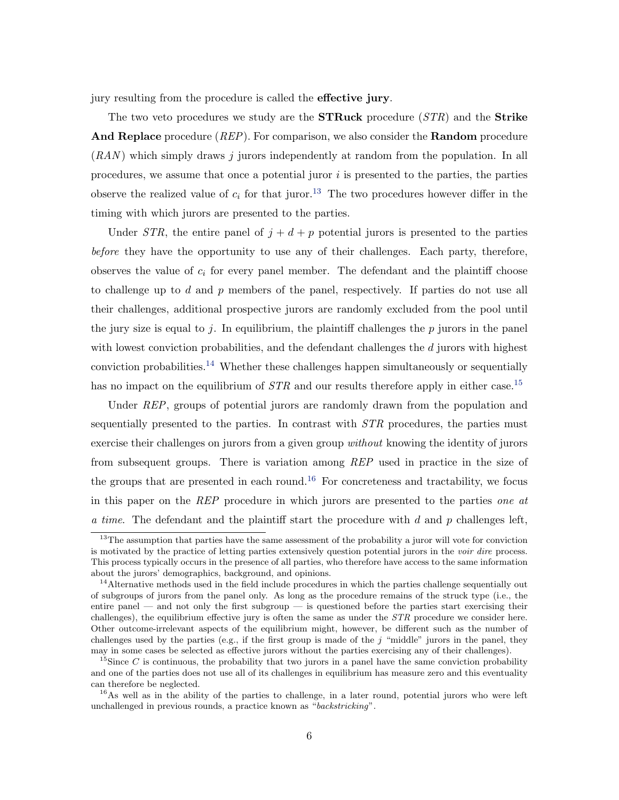jury resulting from the procedure is called the effective jury.

The two veto procedures we study are the **STRuck** procedure  $(STR)$  and the **Strike** And Replace procedure *(REP)*. For comparison, we also consider the Random procedure  $(RAN)$  which simply draws j jurors independently at random from the population. In all procedures, we assume that once a potential juror  $i$  is presented to the parties, the parties observe the realized value of  $c_i$  for that juror.<sup>13</sup> The two procedures however differ in the timing with which jurors are presented to the parties.

Under STR, the entire panel of  $j + d + p$  potential jurors is presented to the parties before they have the opportunity to use any of their challenges. Each party, therefore, observes the value of  $c_i$  for every panel member. The defendant and the plaintiff choose to challenge up to  $d$  and  $p$  members of the panel, respectively. If parties do not use all their challenges, additional prospective jurors are randomly excluded from the pool until the jury size is equal to j. In equilibrium, the plaintiff challenges the  $p$  jurors in the panel with lowest conviction probabilities, and the defendant challenges the d jurors with highest conviction probabilities.<sup>14</sup> Whether these challenges happen simultaneously or sequentially has no impact on the equilibrium of  $STR$  and our results therefore apply in either case.<sup>15</sup>

Under REP, groups of potential jurors are randomly drawn from the population and sequentially presented to the parties. In contrast with  $STR$  procedures, the parties must exercise their challenges on jurors from a given group *without* knowing the identity of jurors from subsequent groups. There is variation among REP used in practice in the size of the groups that are presented in each round.<sup>16</sup> For concreteness and tractability, we focus in this paper on the REP procedure in which jurors are presented to the parties one at a time. The defendant and the plaintiff start the procedure with  $d$  and  $p$  challenges left,

<sup>&</sup>lt;sup>13</sup>The assumption that parties have the same assessment of the probability a juror will vote for conviction is motivated by the practice of letting parties extensively question potential jurors in the voir dire process. This process typically occurs in the presence of all parties, who therefore have access to the same information about the jurors' demographics, background, and opinions.

<sup>&</sup>lt;sup>14</sup>Alternative methods used in the field include procedures in which the parties challenge sequentially out of subgroups of jurors from the panel only. As long as the procedure remains of the struck type (i.e., the entire panel — and not only the first subgroup — is questioned before the parties start exercising their challenges), the equilibrium effective jury is often the same as under the  $STR$  procedure we consider here. Other outcome-irrelevant aspects of the equilibrium might, however, be different such as the number of challenges used by the parties (e.g., if the first group is made of the  $j$  "middle" jurors in the panel, they may in some cases be selected as effective jurors without the parties exercising any of their challenges).

<sup>&</sup>lt;sup>15</sup>Since C is continuous, the probability that two jurors in a panel have the same conviction probability and one of the parties does not use all of its challenges in equilibrium has measure zero and this eventuality can therefore be neglected.

<sup>&</sup>lt;sup>16</sup>As well as in the ability of the parties to challenge, in a later round, potential jurors who were left unchallenged in previous rounds, a practice known as "backstricking".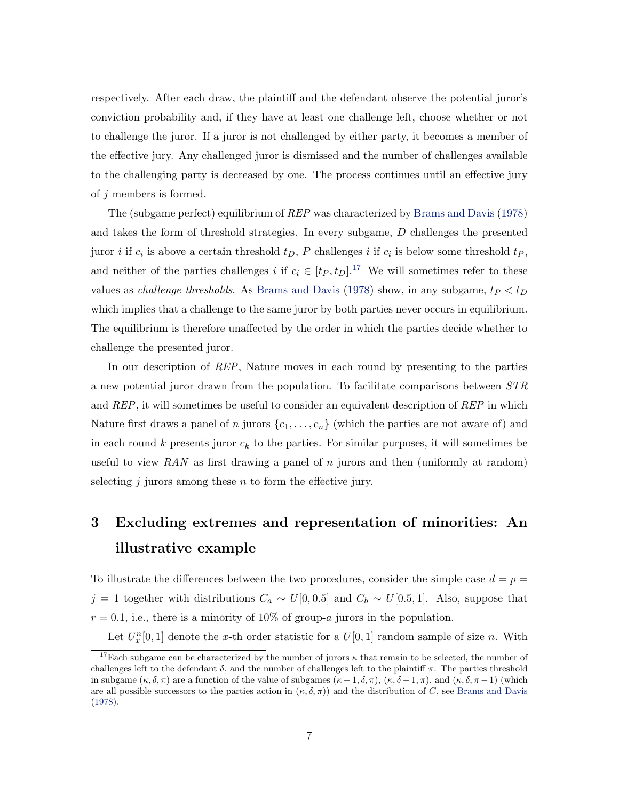respectively. After each draw, the plaintiff and the defendant observe the potential juror's conviction probability and, if they have at least one challenge left, choose whether or not to challenge the juror. If a juror is not challenged by either party, it becomes a member of the effective jury. Any challenged juror is dismissed and the number of challenges available to the challenging party is decreased by one. The process continues until an effective jury of j members is formed.

The (subgame perfect) equilibrium of REP was characterized by Brams and Davis (1978) and takes the form of threshold strategies. In every subgame, D challenges the presented juror *i* if  $c_i$  is above a certain threshold  $t_D$ , P challenges *i* if  $c_i$  is below some threshold  $t_P$ , and neither of the parties challenges i if  $c_i \in [t_P, t_D]$ .<sup>17</sup> We will sometimes refer to these values as *challenge thresholds*. As Brams and Davis (1978) show, in any subgame,  $t_P < t_D$ which implies that a challenge to the same juror by both parties never occurs in equilibrium. The equilibrium is therefore unaffected by the order in which the parties decide whether to challenge the presented juror.

In our description of REP, Nature moves in each round by presenting to the parties a new potential juror drawn from the population. To facilitate comparisons between STR and REP, it will sometimes be useful to consider an equivalent description of REP in which Nature first draws a panel of n jurors  $\{c_1, \ldots, c_n\}$  (which the parties are not aware of) and in each round  $k$  presents juror  $c_k$  to the parties. For similar purposes, it will sometimes be useful to view RAN as first drawing a panel of n jurors and then (uniformly at random) selecting  $j$  jurors among these  $n$  to form the effective jury.

# 3 Excluding extremes and representation of minorities: An illustrative example

To illustrate the differences between the two procedures, consider the simple case  $d = p =$ j = 1 together with distributions  $C_a \sim U[0, 0.5]$  and  $C_b \sim U[0.5, 1]$ . Also, suppose that  $r = 0.1$ , i.e., there is a minority of 10% of group-a jurors in the population.

Let  $U_x^n[0,1]$  denote the x-th order statistic for a  $U[0,1]$  random sample of size n. With

<sup>&</sup>lt;sup>17</sup>Each subgame can be characterized by the number of jurors  $\kappa$  that remain to be selected, the number of challenges left to the defendant  $\delta$ , and the number of challenges left to the plaintiff  $\pi$ . The parties threshold in subgame  $(\kappa, \delta, \pi)$  are a function of the value of subgames  $(\kappa -1, \delta, \pi)$ ,  $(\kappa, \delta -1, \pi)$ , and  $(\kappa, \delta, \pi -1)$  (which are all possible successors to the parties action in  $(\kappa, \delta, \pi)$  and the distribution of C, see Brams and Davis (1978).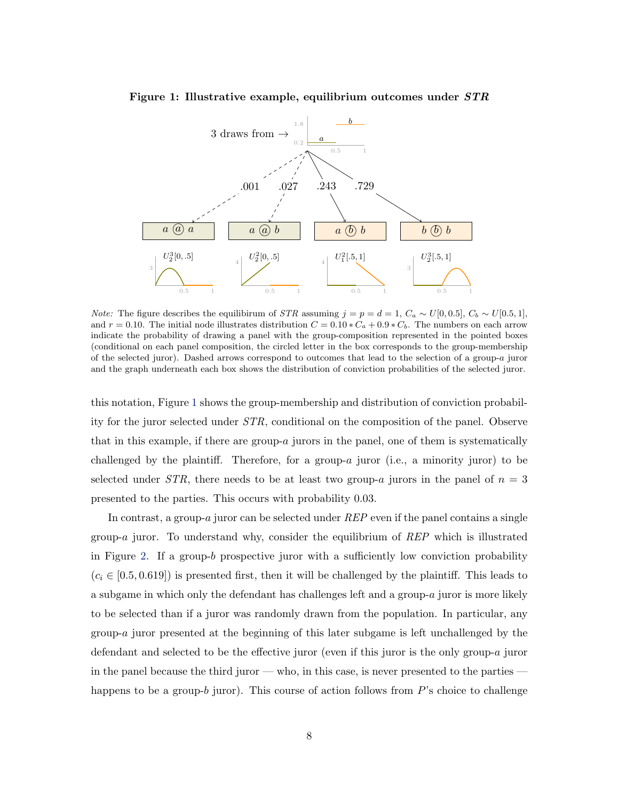

#### Figure 1: Illustrative example, equilibrium outcomes under STR

*Note:* The figure describes the equilibirum of *STR* assuming  $j = p = d = 1$ ,  $C_a \sim U[0, 0.5]$ ,  $C_b \sim U[0.5, 1]$ , and  $r = 0.10$ . The initial node illustrates distribution  $C = 0.10 * C_a + 0.9 * C_b$ . The numbers on each arrow indicate the probability of drawing a panel with the group-composition represented in the pointed boxes (conditional on each panel composition, the circled letter in the box corresponds to the group-membership of the selected juror). Dashed arrows correspond to outcomes that lead to the selection of a group-a juror and the graph underneath each box shows the distribution of conviction probabilities of the selected juror.

this notation, Figure 1 shows the group-membership and distribution of conviction probability for the juror selected under STR, conditional on the composition of the panel. Observe that in this example, if there are group-a jurors in the panel, one of them is systematically challenged by the plaintiff. Therefore, for a group-a juror (i.e., a minority juror) to be selected under STR, there needs to be at least two group-a jurors in the panel of  $n = 3$ presented to the parties. This occurs with probability 0.03.

In contrast, a group-a juror can be selected under REP even if the panel contains a single group-a juror. To understand why, consider the equilibrium of  $REP$  which is illustrated in Figure 2. If a group-b prospective juror with a sufficiently low conviction probability  $(c_i \in [0.5, 0.619])$  is presented first, then it will be challenged by the plaintiff. This leads to a subgame in which only the defendant has challenges left and a group-a juror is more likely to be selected than if a juror was randomly drawn from the population. In particular, any group-a juror presented at the beginning of this later subgame is left unchallenged by the defendant and selected to be the effective juror (even if this juror is the only group-a juror in the panel because the third juror — who, in this case, is never presented to the parties happens to be a group-b juror). This course of action follows from  $P$ 's choice to challenge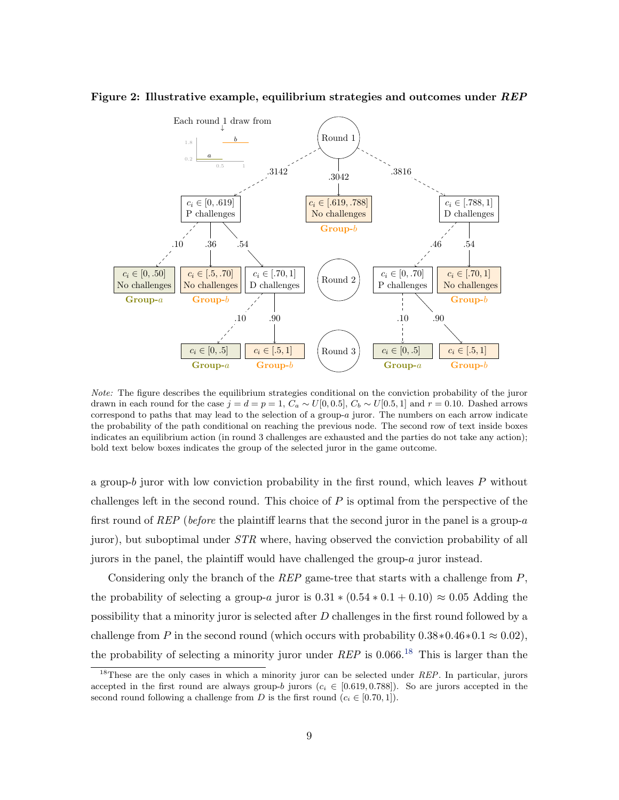

Figure 2: Illustrative example, equilibrium strategies and outcomes under  $REP$ 

Note: The figure describes the equilibrium strategies conditional on the conviction probability of the juror drawn in each round for the case  $j = d = p = 1$ ,  $C_a \sim U[0, 0.5]$ ,  $C_b \sim U[0.5, 1]$  and  $r = 0.10$ . Dashed arrows correspond to paths that may lead to the selection of a group-a juror. The numbers on each arrow indicate the probability of the path conditional on reaching the previous node. The second row of text inside boxes indicates an equilibrium action (in round 3 challenges are exhausted and the parties do not take any action); bold text below boxes indicates the group of the selected juror in the game outcome.

a group- $b$  juror with low conviction probability in the first round, which leaves  $P$  without challenges left in the second round. This choice of  $P$  is optimal from the perspective of the first round of REP (before the plaintiff learns that the second juror in the panel is a group- $a$ juror), but suboptimal under STR where, having observed the conviction probability of all jurors in the panel, the plaintiff would have challenged the group-a juror instead.

Considering only the branch of the  $REP$  game-tree that starts with a challenge from  $P$ , the probability of selecting a group-a juror is  $0.31 * (0.54 * 0.1 + 0.10) \approx 0.05$  Adding the possibility that a minority juror is selected after D challenges in the first round followed by a challenge from P in the second round (which occurs with probability  $0.38*0.46*0.1 \approx 0.02$ ), the probability of selecting a minority juror under  $REP$  is 0.066.<sup>18</sup> This is larger than the

<sup>&</sup>lt;sup>18</sup>These are the only cases in which a minority juror can be selected under REP. In particular, jurors accepted in the first round are always group-b jurors  $(c_i \in [0.619, 0.788])$ . So are jurors accepted in the second round following a challenge from D is the first round  $(c_i \in [0.70, 1])$ .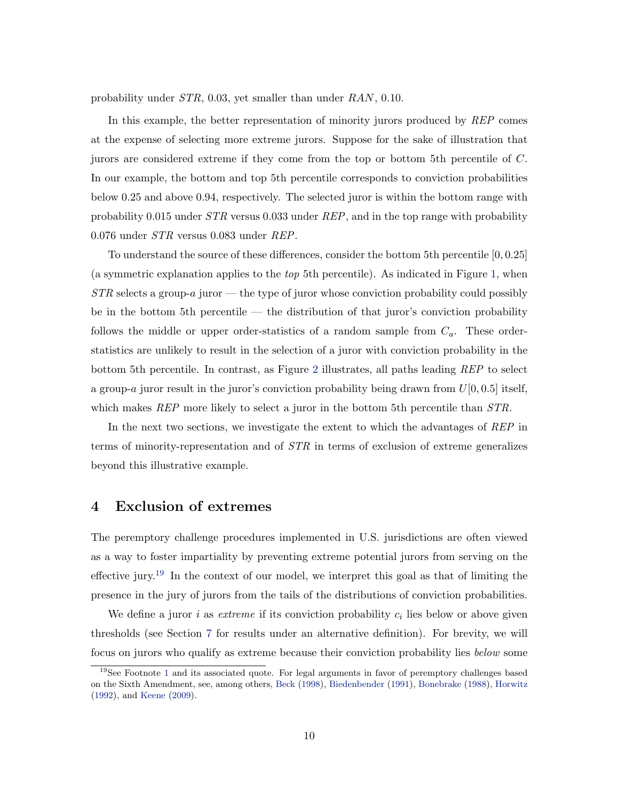probability under STR, 0.03, yet smaller than under RAN, 0.10.

In this example, the better representation of minority jurors produced by REP comes at the expense of selecting more extreme jurors. Suppose for the sake of illustration that jurors are considered extreme if they come from the top or bottom 5th percentile of C. In our example, the bottom and top 5th percentile corresponds to conviction probabilities below 0.25 and above 0.94, respectively. The selected juror is within the bottom range with probability 0.015 under  $STR$  versus 0.033 under  $REP$ , and in the top range with probability 0.076 under STR versus 0.083 under REP.

To understand the source of these differences, consider the bottom 5th percentile [0, 0.25] (a symmetric explanation applies to the top 5th percentile). As indicated in Figure 1, when  $STR$  selects a group-a juror — the type of juror whose conviction probability could possibly be in the bottom 5th percentile — the distribution of that juror's conviction probability follows the middle or upper order-statistics of a random sample from  $C_a$ . These orderstatistics are unlikely to result in the selection of a juror with conviction probability in the bottom 5th percentile. In contrast, as Figure 2 illustrates, all paths leading REP to select a group-a juror result in the juror's conviction probability being drawn from  $U[0, 0.5]$  itself, which makes  $REP$  more likely to select a juror in the bottom 5th percentile than  $STR$ .

In the next two sections, we investigate the extent to which the advantages of REP in terms of minority-representation and of STR in terms of exclusion of extreme generalizes beyond this illustrative example.

## 4 Exclusion of extremes

The peremptory challenge procedures implemented in U.S. jurisdictions are often viewed as a way to foster impartiality by preventing extreme potential jurors from serving on the effective jury.<sup>19</sup> In the context of our model, we interpret this goal as that of limiting the presence in the jury of jurors from the tails of the distributions of conviction probabilities.

We define a juror i as *extreme* if its conviction probability  $c_i$  lies below or above given thresholds (see Section 7 for results under an alternative definition). For brevity, we will focus on jurors who qualify as extreme because their conviction probability lies below some

 $19$ See Footnote 1 and its associated quote. For legal arguments in favor of peremptory challenges based on the Sixth Amendment, see, among others, Beck (1998), Biedenbender (1991), Bonebrake (1988), Horwitz (1992), and Keene (2009).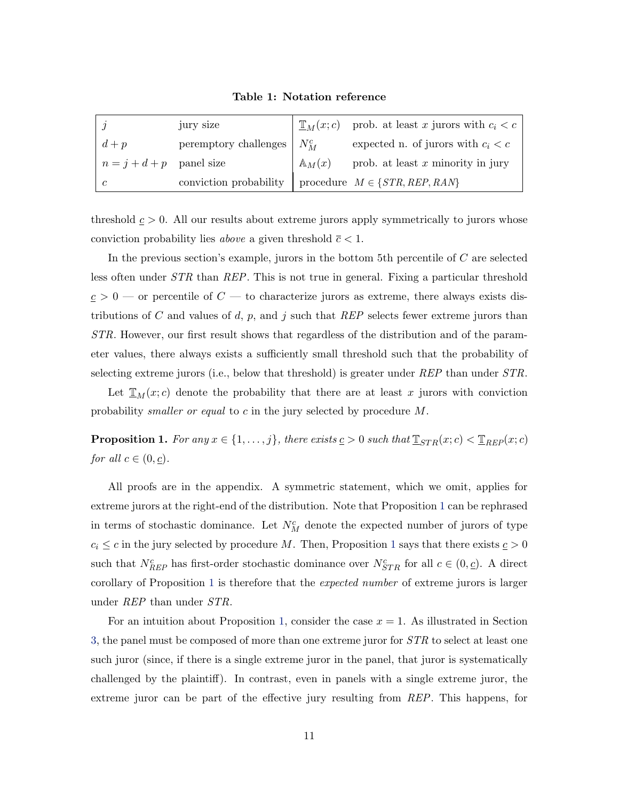Table 1: Notation reference

|                            | jury size              |                   | $\mathbb{I}_{M}(x;c)$ prob. at least x jurors with $c_i < c$ |
|----------------------------|------------------------|-------------------|--------------------------------------------------------------|
| $d+p$                      | peremptory challenges  | $N_M^c$           | expected n. of jurors with $c_i < c$                         |
| $n = j + d + p$ panel size |                        | $\mathbb{A}_M(x)$ | prob. at least $x$ minority in jury                          |
| $\mathcal{C}$              | conviction probability |                   | procedure $M \in \{STR, REP, RAN\}$                          |

threshold  $c > 0$ . All our results about extreme jurors apply symmetrically to jurors whose conviction probability lies *above* a given threshold  $\bar{c} < 1$ .

In the previous section's example, jurors in the bottom 5th percentile of  $C$  are selected less often under STR than REP. This is not true in general. Fixing a particular threshold  $c > 0$  — or percentile of  $C$  — to characterize jurors as extreme, there always exists distributions of C and values of d, p, and j such that REP selects fewer extreme jurors than STR. However, our first result shows that regardless of the distribution and of the parameter values, there always exists a sufficiently small threshold such that the probability of selecting extreme jurors (i.e., below that threshold) is greater under  $REP$  than under  $STR$ .

Let  $\mathbb{T}_M(x; c)$  denote the probability that there are at least x jurors with conviction probability *smaller or equal* to c in the jury selected by procedure M.

**Proposition 1.** For any  $x \in \{1, \ldots, j\}$ , there exists  $\underline{c} > 0$  such that  $\underline{\mathbb{T}}_{STR}(x; c) < \underline{\mathbb{T}}_{REP}(x; c)$ for all  $c \in (0, \underline{c})$ .

All proofs are in the appendix. A symmetric statement, which we omit, applies for extreme jurors at the right-end of the distribution. Note that Proposition 1 can be rephrased in terms of stochastic dominance. Let  $N_M^c$  denote the expected number of jurors of type  $c_i \leq c$  in the jury selected by procedure M. Then, Proposition 1 says that there exists  $c > 0$ such that  $N_{REP}^c$  has first-order stochastic dominance over  $N_{STR}^c$  for all  $c \in (0, \underline{c})$ . A direct corollary of Proposition 1 is therefore that the expected number of extreme jurors is larger under REP than under STR.

For an intuition about Proposition 1, consider the case  $x = 1$ . As illustrated in Section 3, the panel must be composed of more than one extreme juror for STR to select at least one such juror (since, if there is a single extreme juror in the panel, that juror is systematically challenged by the plaintiff). In contrast, even in panels with a single extreme juror, the extreme juror can be part of the effective jury resulting from REP. This happens, for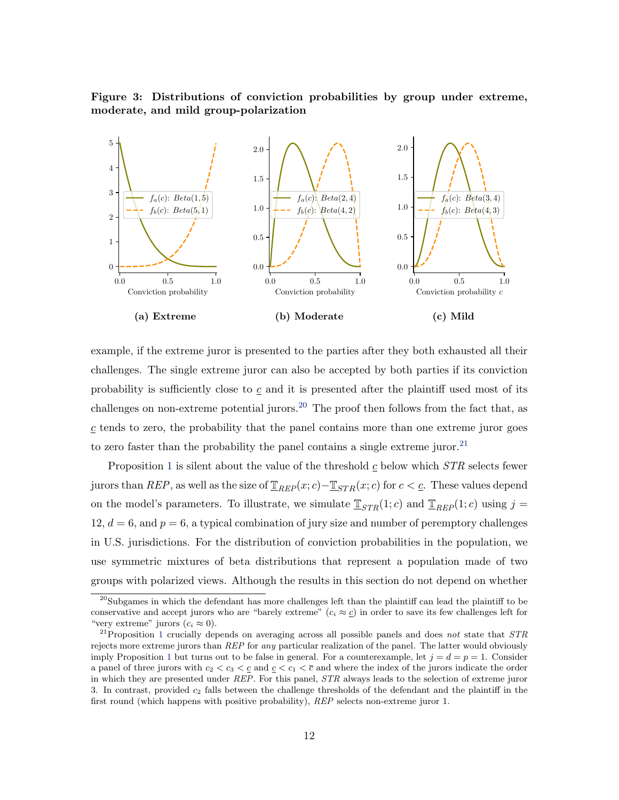Figure 3: Distributions of conviction probabilities by group under extreme, moderate, and mild group-polarization



example, if the extreme juror is presented to the parties after they both exhausted all their challenges. The single extreme juror can also be accepted by both parties if its conviction probability is sufficiently close to  $c$  and it is presented after the plaintiff used most of its challenges on non-extreme potential jurors.<sup>20</sup> The proof then follows from the fact that, as  $c$  tends to zero, the probability that the panel contains more than one extreme juror goes to zero faster than the probability the panel contains a single extreme juror.<sup>21</sup>

Proposition 1 is silent about the value of the threshold  $c$  below which  $STR$  selects fewer jurors than REP, as well as the size of  $\mathbb{I}_{REP}(x;c)-\mathbb{I}_{STR}(x;c)$  for  $c < c$ . These values depend on the model's parameters. To illustrate, we simulate  $\mathbb{I}_{STR}(1;c)$  and  $\mathbb{I}_{REP}(1;c)$  using  $j =$ 12,  $d = 6$ , and  $p = 6$ , a typical combination of jury size and number of peremptory challenges in U.S. jurisdictions. For the distribution of conviction probabilities in the population, we use symmetric mixtures of beta distributions that represent a population made of two groups with polarized views. Although the results in this section do not depend on whether

<sup>&</sup>lt;sup>20</sup>Subgames in which the defendant has more challenges left than the plaintiff can lead the plaintiff to be conservative and accept jurors who are "barely extreme"  $(c_i \approx c)$  in order to save its few challenges left for "very extreme" jurors  $(c_i \approx 0)$ .

<sup>&</sup>lt;sup>21</sup>Proposition 1 crucially depends on averaging across all possible panels and does not state that  $STR$ rejects more extreme jurors than REP for any particular realization of the panel. The latter would obviously imply Proposition 1 but turns out to be false in general. For a counterexample, let  $j = d = p = 1$ . Consider a panel of three jurors with  $c_2 < c_3 < c$  and  $c < c_1 < \overline{c}$  and where the index of the jurors indicate the order in which they are presented under REP. For this panel, STR always leads to the selection of extreme juror 3. In contrast, provided  $c_2$  falls between the challenge thresholds of the defendant and the plaintiff in the first round (which happens with positive probability), REP selects non-extreme juror 1.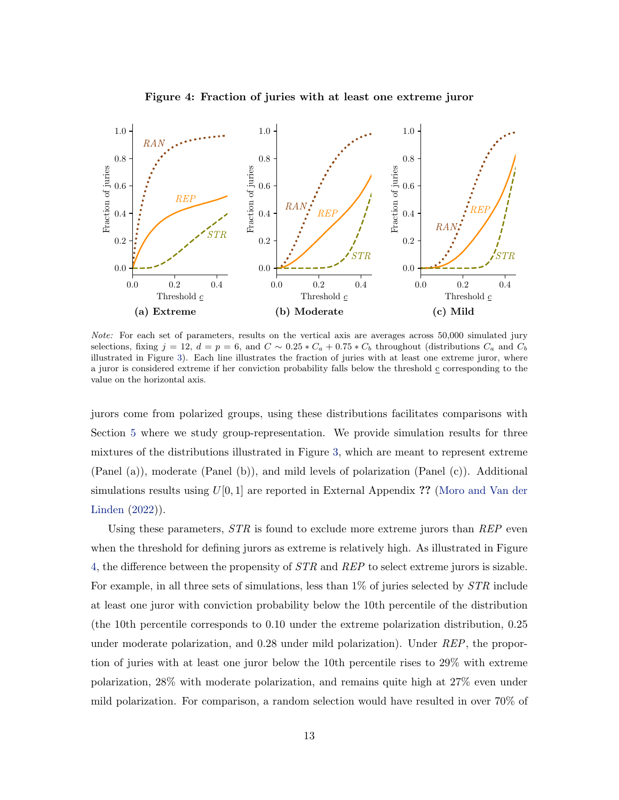

Figure 4: Fraction of juries with at least one extreme juror

Note: For each set of parameters, results on the vertical axis are averages across 50,000 simulated jury selections, fixing  $j = 12$ ,  $d = p = 6$ , and  $C \sim 0.25 * C_a + 0.75 * C_b$  throughout (distributions  $C_a$  and  $C_b$ illustrated in Figure 3). Each line illustrates the fraction of juries with at least one extreme juror, where a juror is considered extreme if her conviction probability falls below the threshold  $\underline{c}$  corresponding to the value on the horizontal axis.

jurors come from polarized groups, using these distributions facilitates comparisons with Section 5 where we study group-representation. We provide simulation results for three mixtures of the distributions illustrated in Figure 3, which are meant to represent extreme (Panel (a)), moderate (Panel (b)), and mild levels of polarization (Panel (c)). Additional simulations results using  $U[0, 1]$  are reported in External Appendix ?? (Moro and Van der Linden (2022)).

Using these parameters,  $STR$  is found to exclude more extreme jurors than  $REP$  even when the threshold for defining jurors as extreme is relatively high. As illustrated in Figure 4, the difference between the propensity of  $STR$  and  $REP$  to select extreme jurors is sizable. For example, in all three sets of simulations, less than 1% of juries selected by  $STR$  include at least one juror with conviction probability below the 10th percentile of the distribution (the 10th percentile corresponds to 0.10 under the extreme polarization distribution, 0.25 under moderate polarization, and 0.28 under mild polarization). Under REP, the proportion of juries with at least one juror below the 10th percentile rises to 29% with extreme polarization, 28% with moderate polarization, and remains quite high at 27% even under mild polarization. For comparison, a random selection would have resulted in over 70% of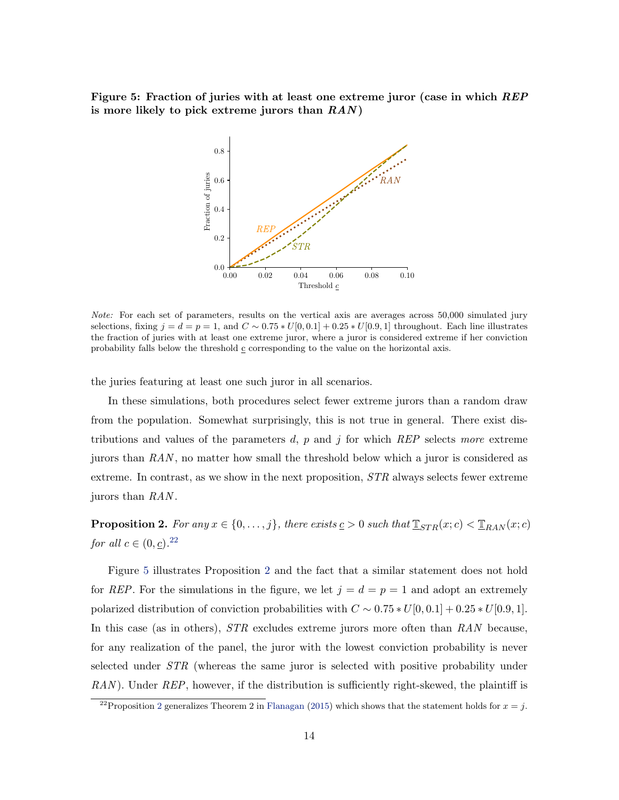Figure 5: Fraction of juries with at least one extreme juror (case in which REP is more likely to pick extreme jurors than  $RAN$ )



Note: For each set of parameters, results on the vertical axis are averages across 50,000 simulated jury selections, fixing  $j = d = p = 1$ , and  $C \sim 0.75 * U[0, 0.1] + 0.25 * U[0.9, 1]$  throughout. Each line illustrates the fraction of juries with at least one extreme juror, where a juror is considered extreme if her conviction probability falls below the threshold  $\underline{c}$  corresponding to the value on the horizontal axis.

the juries featuring at least one such juror in all scenarios.

In these simulations, both procedures select fewer extreme jurors than a random draw from the population. Somewhat surprisingly, this is not true in general. There exist distributions and values of the parameters d,  $p$  and  $j$  for which REP selects more extreme jurors than  $RAN$ , no matter how small the threshold below which a juror is considered as extreme. In contrast, as we show in the next proposition,  $STR$  always selects fewer extreme jurors than RAN .

**Proposition 2.** For any  $x \in \{0, \ldots, j\}$ , there exists  $\underline{c} > 0$  such that  $\underline{\mathbb{T}}_{STR}(x; c) < \underline{\mathbb{T}}_{RAN}(x; c)$ for all  $c \in (0, \underline{c})$ .<sup>22</sup>

Figure 5 illustrates Proposition 2 and the fact that a similar statement does not hold for REP. For the simulations in the figure, we let  $j = d = p = 1$  and adopt an extremely polarized distribution of conviction probabilities with  $C \sim 0.75 * U[0, 0.1] + 0.25 * U[0.9, 1]$ . In this case (as in others), *STR* excludes extreme jurors more often than RAN because, for any realization of the panel, the juror with the lowest conviction probability is never selected under STR (whereas the same juror is selected with positive probability under  $RAN$ ). Under  $REP$ , however, if the distribution is sufficiently right-skewed, the plaintiff is

<sup>&</sup>lt;sup>22</sup>Proposition 2 generalizes Theorem 2 in Flanagan (2015) which shows that the statement holds for  $x = j$ .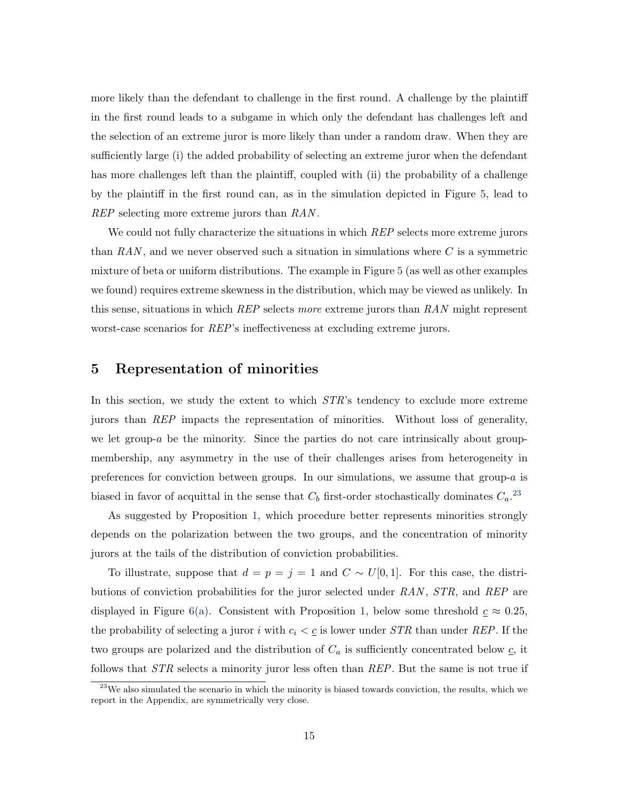more likely than the defendant to challenge in the first round. A challenge by the plaintiff in the first round leads to a subgame in which only the defendant has challenges left and the selection of an extreme juror is more likely than under a random draw. When they are sufficiently large (i) the added probability of selecting an extreme juror when the defendant has more challenges left than the plaintiff, coupled with (ii) the probability of a challenge by the plaintiff in the first round can, as in the simulation depicted in Figure 5, lead to REP selecting more extreme jurors than RAN.

We could not fully characterize the situations in which REP selects more extreme jurors than  $RAN$ , and we never observed such a situation in simulations where C is a symmetric mixture of beta or uniform distributions. The example in Figure 5 (as well as other examples we found) requires extreme skewness in the distribution, which may be viewed as unlikely. In this sense, situations in which  $REP$  selects more extreme jurors than  $RAN$  might represent worst-case scenarios for REP's ineffectiveness at excluding extreme jurors.

## 5 Representation of minorities

In this section, we study the extent to which  $STR$ 's tendency to exclude more extreme jurors than REP impacts the representation of minorities. Without loss of generality, we let group-a be the minority. Since the parties do not care intrinsically about groupmembership, any asymmetry in the use of their challenges arises from heterogeneity in preferences for conviction between groups. In our simulations, we assume that group- $a$  is biased in favor of acquittal in the sense that  $C_b$  first-order stochastically dominates  $C_a$ <sup>23</sup>

As suggested by Proposition 1, which procedure better represents minorities strongly depends on the polarization between the two groups, and the concentration of minority jurors at the tails of the distribution of conviction probabilities.

To illustrate, suppose that  $d = p = j = 1$  and  $C \sim U[0, 1]$ . For this case, the distributions of conviction probabilities for the juror selected under  $RAN$ ,  $STR$ , and  $REP$  are displayed in Figure 6(a). Consistent with Proposition 1, below some threshold  $c \approx 0.25$ , the probability of selecting a juror i with  $c_i < \underline{c}$  is lower under STR than under REP. If the two groups are polarized and the distribution of  $C_a$  is sufficiently concentrated below  $\underline{c}$ , it follows that *STR* selects a minority juror less often than *REP*. But the same is not true if

 $^{23}$ We also simulated the scenario in which the minority is biased towards conviction, the results, which we report in the Appendix, are symmetrically very close.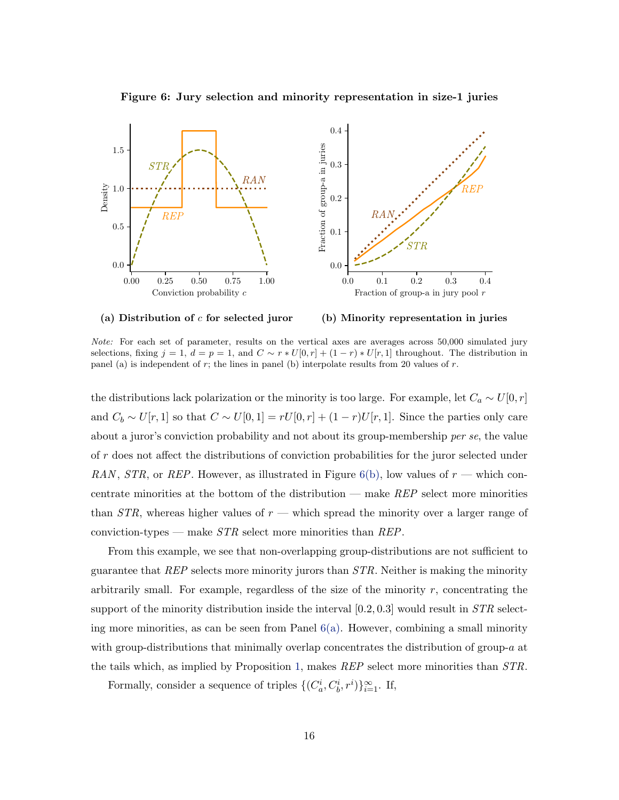

Figure 6: Jury selection and minority representation in size-1 juries



(b) Minority representation in juries

Note: For each set of parameter, results on the vertical axes are averages across 50,000 simulated jury selections, fixing  $j = 1, d = p = 1$ , and  $C \sim r * U[0, r] + (1 - r) * U[r, 1]$  throughout. The distribution in panel (a) is independent of  $r$ ; the lines in panel (b) interpolate results from 20 values of  $r$ .

the distributions lack polarization or the minority is too large. For example, let  $C_a \sim U[0, r]$ and  $C_b \sim U[r, 1]$  so that  $C \sim U[0, 1] = rU[0, r] + (1 - r)U[r, 1]$ . Since the parties only care about a juror's conviction probability and not about its group-membership per se, the value of r does not affect the distributions of conviction probabilities for the juror selected under RAN, STR, or REP. However, as illustrated in Figure 6(b), low values of  $r$  — which concentrate minorities at the bottom of the distribution — make REP select more minorities than  $STR$ , whereas higher values of  $r$  — which spread the minority over a larger range of conviction-types — make  $STR$  select more minorities than  $REP$ .

From this example, we see that non-overlapping group-distributions are not sufficient to guarantee that  $REP$  selects more minority jurors than  $STR$ . Neither is making the minority arbitrarily small. For example, regardless of the size of the minority  $r$ , concentrating the support of the minority distribution inside the interval  $[0.2, 0.3]$  would result in  $STR$  selecting more minorities, as can be seen from Panel  $6(a)$ . However, combining a small minority with group-distributions that minimally overlap concentrates the distribution of group- $a$  at the tails which, as implied by Proposition 1, makes REP select more minorities than STR.

Formally, consider a sequence of triples  $\{(C_a^i, C_b^i, r^i)\}_{i=1}^{\infty}$ . If,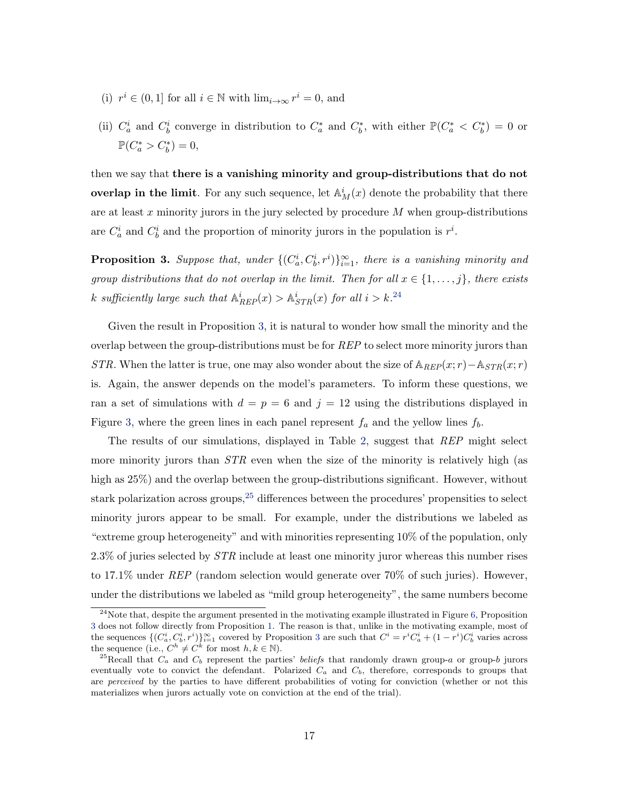- (i)  $r^i \in (0,1]$  for all  $i \in \mathbb{N}$  with  $\lim_{i \to \infty} r^i = 0$ , and
- (ii)  $C_a^i$  and  $C_b^i$  converge in distribution to  $C_a^*$  and  $C_b^*$ , with either  $\mathbb{P}(C_a^* < C_b^*) = 0$  or  $\mathbb{P}(C_a^* > C_b^*) = 0,$

then we say that there is a vanishing minority and group-distributions that do not overlap in the limit. For any such sequence, let  $\mathbb{A}_M^i(x)$  denote the probability that there are at least x minority jurors in the jury selected by procedure  $M$  when group-distributions are  $C_a^i$  and  $C_b^i$  and the proportion of minority jurors in the population is  $r^i$ .

**Proposition 3.** Suppose that, under  $\{(C_a^i, C_b^i, r^i)\}_{i=1}^{\infty}$ , there is a vanishing minority and group distributions that do not overlap in the limit. Then for all  $x \in \{1, \ldots, j\}$ , there exists k sufficiently large such that  $\mathbb{A}_{REP}^i(x) > \mathbb{A}_{STR}^i(x)$  for all  $i > k$ .<sup>24</sup>

Given the result in Proposition 3, it is natural to wonder how small the minority and the overlap between the group-distributions must be for REP to select more minority jurors than STR. When the latter is true, one may also wonder about the size of  $\mathbb{A}_{REF}(x; r)-\mathbb{A}_{STR}(x; r)$ is. Again, the answer depends on the model's parameters. To inform these questions, we ran a set of simulations with  $d = p = 6$  and  $j = 12$  using the distributions displayed in Figure 3, where the green lines in each panel represent  $f_a$  and the yellow lines  $f_b$ .

The results of our simulations, displayed in Table 2, suggest that REP might select more minority jurors than  $STR$  even when the size of the minority is relatively high (as high as 25%) and the overlap between the group-distributions significant. However, without stark polarization across groups,  $25$  differences between the procedures' propensities to select minority jurors appear to be small. For example, under the distributions we labeled as "extreme group heterogeneity" and with minorities representing 10% of the population, only 2.3% of juries selected by  $STR$  include at least one minority juror whereas this number rises to 17.1% under  $REP$  (random selection would generate over 70% of such juries). However, under the distributions we labeled as "mild group heterogeneity", the same numbers become

 $24$ Note that, despite the argument presented in the motivating example illustrated in Figure 6, Proposition 3 does not follow directly from Proposition 1. The reason is that, unlike in the motivating example, most of the sequences  $\{(C_a^i, C_b^i, r^i)\}_{i=1}^{\infty}$  covered by Proposition 3 are such that  $C^i = r^i C_a^i + (1 - r^i)C_b^i$  varies across the sequence (i.e.,  $C^h \neq C^k$  for most  $h, k \in \mathbb{N}$ ).

<sup>&</sup>lt;sup>25</sup>Recall that  $C_a$  and  $C_b$  represent the parties' beliefs that randomly drawn group-a or group-b jurors eventually vote to convict the defendant. Polarized  $C_a$  and  $C_b$ , therefore, corresponds to groups that are perceived by the parties to have different probabilities of voting for conviction (whether or not this materializes when jurors actually vote on conviction at the end of the trial).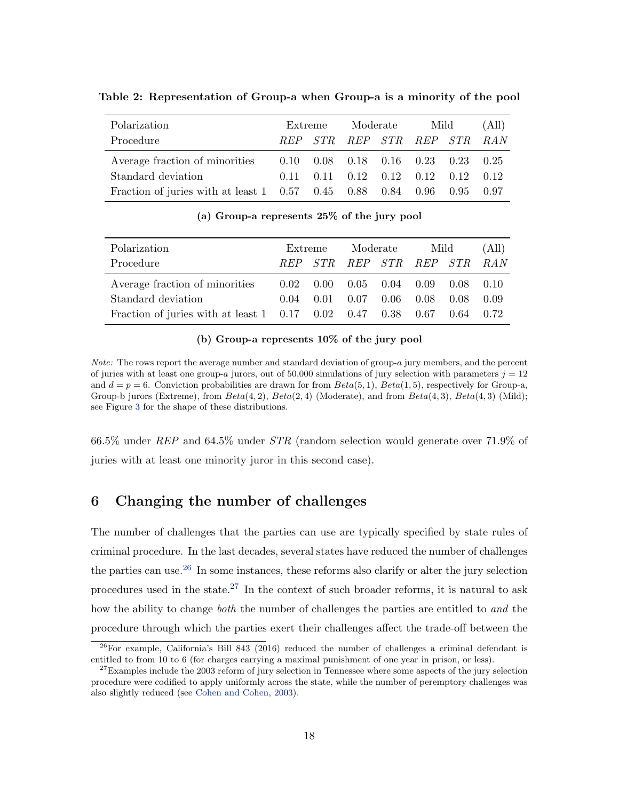| Polarization                                                                                | Extreme |  | Moderate                           |  | Mild |      | (All) |
|---------------------------------------------------------------------------------------------|---------|--|------------------------------------|--|------|------|-------|
| Procedure                                                                                   |         |  | REP STR REP STR REP STR RAN        |  |      |      |       |
| Average fraction of minorities   0.10  0.08  0.18  0.16  0.23  0.23  0.25                   |         |  |                                    |  |      |      |       |
| Standard deviation                                                                          | 0.11    |  | $0.11$ $0.12$ $0.12$ $0.12$ $0.12$ |  |      |      | 0.12  |
| Fraction of juries with at least $1 \quad 0.57 \quad 0.45 \quad 0.88 \quad 0.84 \quad 0.96$ |         |  |                                    |  |      | 0.95 | 0.97  |

Table 2: Representation of Group-a when Group-a is a minority of the pool

(a) Group-a represents 25% of the jury pool

| Polarization                                                                                | Extreme |         | Moderate                                           |  | Mild             |             | (All) |
|---------------------------------------------------------------------------------------------|---------|---------|----------------------------------------------------|--|------------------|-------------|-------|
| Procedure                                                                                   |         | REP STR | REP STR REP STR RAN                                |  |                  |             |       |
| Average fraction of minorities                                                              |         |         | $0.02 \quad 0.00 \quad 0.05 \quad 0.04 \quad 0.09$ |  |                  | $0.08$ 0.10 |       |
| Standard deviation                                                                          | 0.04    | 0.01    |                                                    |  | $0.07$ 0.06 0.08 | 0.08        | 0.09  |
| Fraction of juries with at least $1 \quad 0.17 \quad 0.02 \quad 0.47 \quad 0.38 \quad 0.67$ |         |         |                                                    |  |                  | 0.64        | 0.72  |

#### (b) Group-a represents 10% of the jury pool

Note: The rows report the average number and standard deviation of group-a jury members, and the percent of juries with at least one group-a jurors, out of 50,000 simulations of jury selection with parameters  $j = 12$ and  $d = p = 6$ . Conviction probabilities are drawn for from  $Beta(5, 1)$ ,  $Beta(1, 5)$ , respectively for Group-a, Group-b jurors (Extreme), from  $Beta(4, 2)$ ,  $Beta(2, 4)$  (Moderate), and from  $Beta(4, 3)$ ,  $Beta(4, 3)$  (Mild); see Figure 3 for the shape of these distributions.

66.5% under REP and 64.5% under STR (random selection would generate over 71.9% of juries with at least one minority juror in this second case).

## 6 Changing the number of challenges

The number of challenges that the parties can use are typically specified by state rules of criminal procedure. In the last decades, several states have reduced the number of challenges the parties can use.<sup>26</sup> In some instances, these reforms also clarify or alter the jury selection procedures used in the state.<sup>27</sup> In the context of such broader reforms, it is natural to ask how the ability to change *both* the number of challenges the parties are entitled to and the procedure through which the parties exert their challenges affect the trade-off between the

 $^{26}$ For example, California's Bill 843 (2016) reduced the number of challenges a criminal defendant is entitled to from 10 to 6 (for charges carrying a maximal punishment of one year in prison, or less).

 $27$ Examples include the 2003 reform of jury selection in Tennessee where some aspects of the jury selection procedure were codified to apply uniformly across the state, while the number of peremptory challenges was also slightly reduced (see Cohen and Cohen, 2003).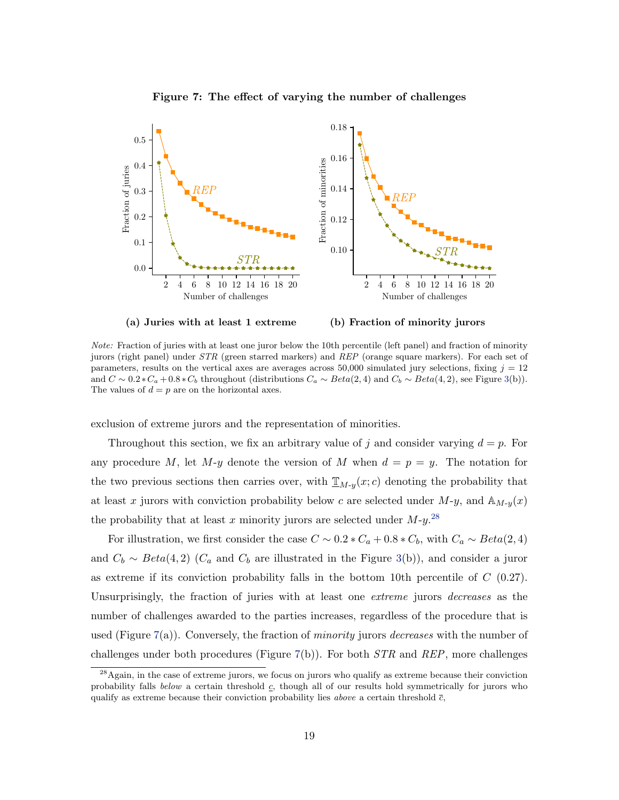

Figure 7: The effect of varying the number of challenges

Note: Fraction of juries with at least one juror below the 10th percentile (left panel) and fraction of minority jurors (right panel) under STR (green starred markers) and REP (orange square markers). For each set of parameters, results on the vertical axes are averages across 50,000 simulated jury selections, fixing  $j = 12$ and  $C \sim 0.2 * C_a + 0.8 * C_b$  throughout (distributions  $C_a \sim Beta(2, 4)$  and  $C_b \sim Beta(4, 2)$ , see Figure 3(b)). The values of  $d = p$  are on the horizontal axes.

exclusion of extreme jurors and the representation of minorities.

Throughout this section, we fix an arbitrary value of j and consider varying  $d = p$ . For any procedure M, let M-y denote the version of M when  $d = p = y$ . The notation for the two previous sections then carries over, with  $\underline{\mathbb{T}}_{M-y}(x; c)$  denoting the probability that at least x jurors with conviction probability below c are selected under  $M-y$ , and  $\mathbb{A}_{M-y}(x)$ the probability that at least x minority jurors are selected under  $M$ -y.<sup>28</sup>

For illustration, we first consider the case  $C \sim 0.2 * C_a + 0.8 * C_b$ , with  $C_a \sim Beta(2, 4)$ and  $C_b \sim Beta(4, 2)$  ( $C_a$  and  $C_b$  are illustrated in the Figure 3(b)), and consider a juror as extreme if its conviction probability falls in the bottom 10th percentile of  $C(0.27)$ . Unsurprisingly, the fraction of juries with at least one *extreme* jurors *decreases* as the number of challenges awarded to the parties increases, regardless of the procedure that is used (Figure 7(a)). Conversely, the fraction of *minority* jurors *decreases* with the number of challenges under both procedures (Figure 7(b)). For both  $STR$  and  $REP$ , more challenges

<sup>&</sup>lt;sup>28</sup>Again, in the case of extreme jurors, we focus on jurors who qualify as extreme because their conviction probability falls below a certain threshold  $c$ , though all of our results hold symmetrically for jurors who qualify as extreme because their conviction probability lies *above* a certain threshold  $\bar{c}$ ,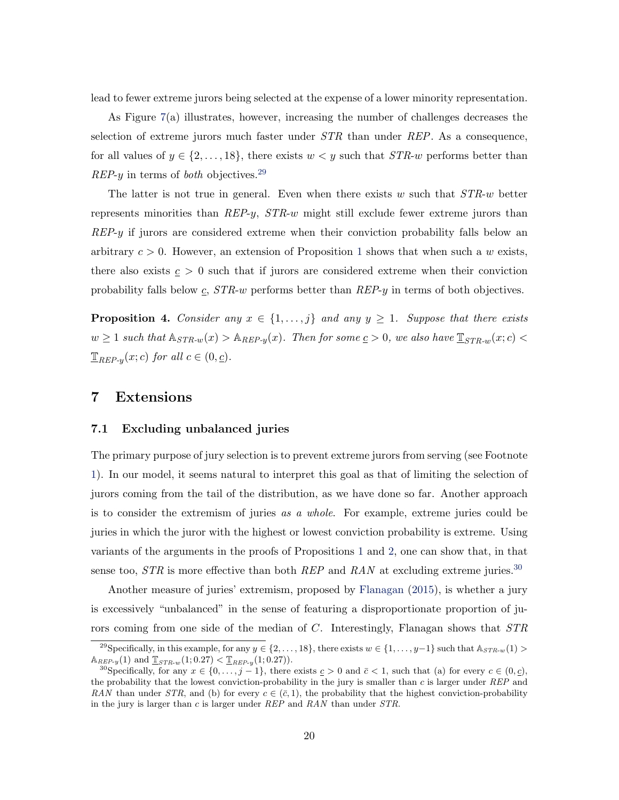lead to fewer extreme jurors being selected at the expense of a lower minority representation.

As Figure 7(a) illustrates, however, increasing the number of challenges decreases the selection of extreme jurors much faster under  $STR$  than under  $REP$ . As a consequence, for all values of  $y \in \{2, \ldots, 18\}$ , there exists  $w < y$  such that  $STR-w$  performs better than  $REP-y$  in terms of *both* objectives.<sup>29</sup>

The latter is not true in general. Even when there exists w such that  $STR-w$  better represents minorities than  $REP-y$ ,  $STR-w$  might still exclude fewer extreme jurors than REP-y if jurors are considered extreme when their conviction probability falls below an arbitrary  $c > 0$ . However, an extension of Proposition 1 shows that when such a w exists, there also exists  $c > 0$  such that if jurors are considered extreme when their conviction probability falls below  $c$ ,  $STR-w$  performs better than  $REF-y$  in terms of both objectives.

**Proposition 4.** Consider any  $x \in \{1, \ldots, j\}$  and any  $y \geq 1$ . Suppose that there exists  $w \geq 1$  such that  $\mathbb{A}_{STR-w}(x) > \mathbb{A}_{REP-y}(x)$ . Then for some  $\underline{c} > 0$ , we also have  $\underline{\mathbb{T}}_{STR-w}(x; c) <$  $\mathbb{I}_{REP-y}(x; c)$  for all  $c \in (0, \underline{c})$ .

## 7 Extensions

#### 7.1 Excluding unbalanced juries

The primary purpose of jury selection is to prevent extreme jurors from serving (see Footnote 1). In our model, it seems natural to interpret this goal as that of limiting the selection of jurors coming from the tail of the distribution, as we have done so far. Another approach is to consider the extremism of juries as a whole. For example, extreme juries could be juries in which the juror with the highest or lowest conviction probability is extreme. Using variants of the arguments in the proofs of Propositions 1 and 2, one can show that, in that sense too,  $STR$  is more effective than both  $REP$  and  $RAN$  at excluding extreme juries.<sup>30</sup>

Another measure of juries' extremism, proposed by Flanagan (2015), is whether a jury is excessively "unbalanced" in the sense of featuring a disproportionate proportion of jurors coming from one side of the median of C. Interestingly, Flanagan shows that  $STR$ 

<sup>&</sup>lt;sup>29</sup>Specifically, in this example, for any  $y \in \{2, \ldots, 18\}$ , there exists  $w \in \{1, \ldots, y-1\}$  such that  $\mathbb{A}_{STR-w}(1)$  $\mathbb{A}_{REP-y}(1)$  and  $\mathbb{I}_{STR-w}(1; 0.27) < \mathbb{I}_{REP-y}(1; 0.27)$ .

<sup>&</sup>lt;sup>30</sup>Specifically, for any  $x \in \{0, \ldots, j-1\}$ , there exists  $c > 0$  and  $\bar{c} < 1$ , such that (a) for every  $c \in (0, c)$ , the probability that the lowest conviction-probability in the jury is smaller than  $c$  is larger under REP and RAN than under STR, and (b) for every  $c \in (\bar{c}, 1)$ , the probability that the highest conviction-probability in the jury is larger than c is larger under  $REP$  and  $RAN$  than under  $STR$ .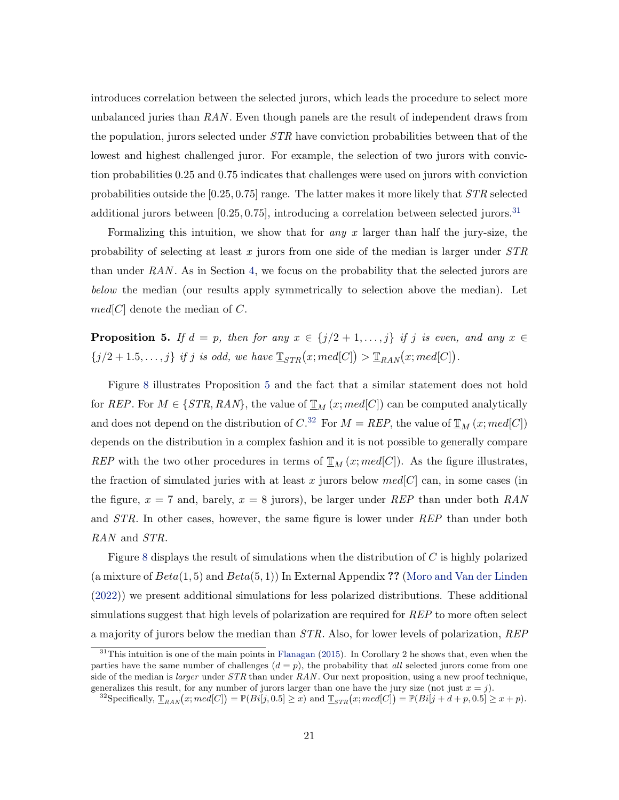introduces correlation between the selected jurors, which leads the procedure to select more unbalanced juries than  $RAN$ . Even though panels are the result of independent draws from the population, jurors selected under  $STR$  have conviction probabilities between that of the lowest and highest challenged juror. For example, the selection of two jurors with conviction probabilities 0.25 and 0.75 indicates that challenges were used on jurors with conviction probabilities outside the  $[0.25, 0.75]$  range. The latter makes it more likely that  $STR$  selected additional jurors between  $[0.25, 0.75]$ , introducing a correlation between selected jurors.<sup>31</sup>

Formalizing this intuition, we show that for *any*  $x$  larger than half the jury-size, the probability of selecting at least x jurors from one side of the median is larger under  $STR$ than under  $RAN$ . As in Section 4, we focus on the probability that the selected jurors are below the median (our results apply symmetrically to selection above the median). Let  $med[C]$  denote the median of C.

**Proposition 5.** If  $d = p$ , then for any  $x \in \{j/2+1,\ldots,j\}$  if j is even, and any  $x \in$  ${j/2+1.5,...,j}$  if j is odd, we have  $\mathbb{I}_{STR}(x; med[C]) > \mathbb{I}_{RAN}(x; med[C])$ .

Figure 8 illustrates Proposition 5 and the fact that a similar statement does not hold for REP. For  $M \in \{STR, RAN\}$ , the value of  $\mathbb{Z}_M(x; med[C])$  can be computed analytically and does not depend on the distribution of  $C^{32}$  For  $M = REP$ , the value of  $\mathbb{I}_{M}(x; med[C])$ depends on the distribution in a complex fashion and it is not possible to generally compare REP with the two other procedures in terms of  $\mathbb{T}_M(x; med[C])$ . As the figure illustrates, the fraction of simulated juries with at least x jurors below  $med[C]$  can, in some cases (in the figure,  $x = 7$  and, barely,  $x = 8$  jurors), be larger under REP than under both RAN and STR. In other cases, however, the same figure is lower under REP than under both RAN and STR.

Figure 8 displays the result of simulations when the distribution of C is highly polarized (a mixture of  $Beta(1, 5)$  and  $Beta(5, 1)$ ) In External Appendix ?? (Moro and Van der Linden (2022)) we present additional simulations for less polarized distributions. These additional simulations suggest that high levels of polarization are required for  $REP$  to more often select a majority of jurors below the median than STR. Also, for lower levels of polarization, REP

 $31$ This intuition is one of the main points in Flanagan (2015). In Corollary 2 he shows that, even when the parties have the same number of challenges  $(d = p)$ , the probability that all selected jurors come from one side of the median is *larger* under  $STR$  than under  $RAN$ . Our next proposition, using a new proof technique, generalizes this result, for any number of jurors larger than one have the jury size (not just  $x = j$ ).

<sup>&</sup>lt;sup>32</sup>Specifically,  $\mathbb{T}_{RAN}(x; med[C]) = \mathbb{P}(Bi[j, 0.5] \geq x)$  and  $\mathbb{T}_{STR}(x; med[C]) = \mathbb{P}(Bi[j + d + p, 0.5] \geq x + p)$ .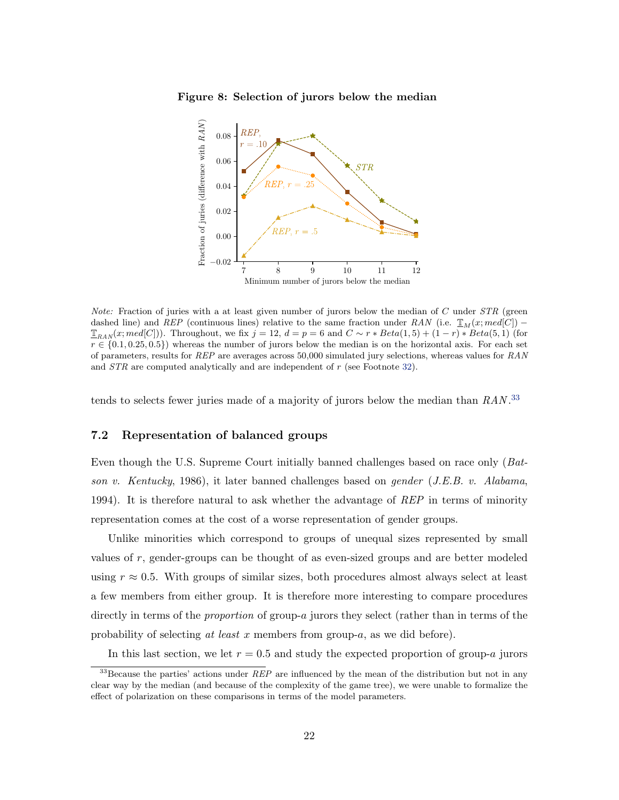



*Note:* Fraction of juries with a at least given number of jurors below the median of  $C$  under  $STR$  (green dashed line) and REP (continuous lines) relative to the same fraction under RAN (i.e.  $\mathbb{I}_M(x; med[C])$  –  $\mathbb{T}_{RAM}(x; med[C]))$ . Throughout, we fix  $j = 12$ ,  $d = p = 6$  and  $C \sim r * Beta(1, 5) + (1 - r) * Beta(5, 1)$  (for  $r \in \{0.1, 0.25, 0.5\}$  whereas the number of jurors below the median is on the horizontal axis. For each set of parameters, results for  $REP$  are averages across 50,000 simulated jury selections, whereas values for  $RAN$ and *STR* are computed analytically and are independent of r (see Footnote 32).

tends to selects fewer juries made of a majority of jurors below the median than RAN.<sup>33</sup>

#### 7.2 Representation of balanced groups

Even though the U.S. Supreme Court initially banned challenges based on race only (Batson v. Kentucky, 1986), it later banned challenges based on gender (J.E.B. v. Alabama, 1994). It is therefore natural to ask whether the advantage of REP in terms of minority representation comes at the cost of a worse representation of gender groups.

Unlike minorities which correspond to groups of unequal sizes represented by small values of r, gender-groups can be thought of as even-sized groups and are better modeled using  $r \approx 0.5$ . With groups of similar sizes, both procedures almost always select at least a few members from either group. It is therefore more interesting to compare procedures directly in terms of the *proportion* of group-a jurors they select (rather than in terms of the probability of selecting at least x members from group-a, as we did before).

In this last section, we let  $r = 0.5$  and study the expected proportion of group-a jurors

 $33$ Because the parties' actions under  $REP$  are influenced by the mean of the distribution but not in any clear way by the median (and because of the complexity of the game tree), we were unable to formalize the effect of polarization on these comparisons in terms of the model parameters.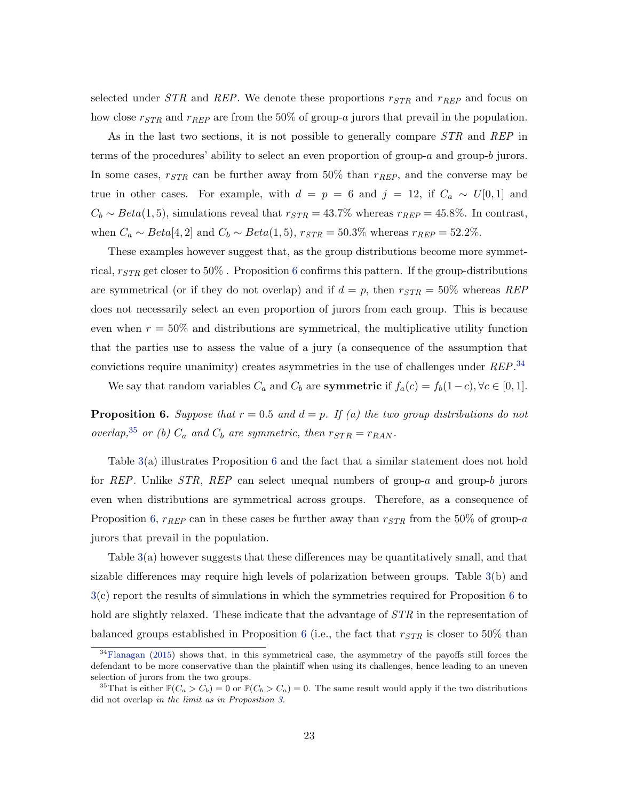selected under  $STR$  and  $REP$ . We denote these proportions  $r_{STR}$  and  $r_{REP}$  and focus on how close  $r_{STR}$  and  $r_{REP}$  are from the 50% of group-a jurors that prevail in the population.

As in the last two sections, it is not possible to generally compare STR and REP in terms of the procedures' ability to select an even proportion of group- $a$  and group- $b$  jurors. In some cases,  $r_{STR}$  can be further away from 50% than  $r_{REP}$ , and the converse may be true in other cases. For example, with  $d = p = 6$  and  $j = 12$ , if  $C_a \sim U[0, 1]$  and  $C_b \sim Beta(1, 5)$ , simulations reveal that  $r_{STR} = 43.7\%$  whereas  $r_{REF} = 45.8\%$ . In contrast, when  $C_a \sim Beta[4, 2]$  and  $C_b \sim Beta(1, 5)$ ,  $r_{STR} = 50.3\%$  whereas  $r_{REP} = 52.2\%$ .

These examples however suggest that, as the group distributions become more symmetrical,  $r_{STR}$  get closer to 50%. Proposition 6 confirms this pattern. If the group-distributions are symmetrical (or if they do not overlap) and if  $d = p$ , then  $r_{STR} = 50\%$  whereas REP does not necessarily select an even proportion of jurors from each group. This is because even when  $r = 50\%$  and distributions are symmetrical, the multiplicative utility function that the parties use to assess the value of a jury (a consequence of the assumption that convictions require unanimity) creates asymmetries in the use of challenges under REP.<sup>34</sup>

We say that random variables  $C_a$  and  $C_b$  are **symmetric** if  $f_a(c) = f_b(1-c), \forall c \in [0,1]$ .

**Proposition 6.** Suppose that  $r = 0.5$  and  $d = p$ . If (a) the two group distributions do not overlap,<sup>35</sup> or (b)  $C_a$  and  $C_b$  are symmetric, then  $r_{STR} = r_{RAN}$ .

Table 3(a) illustrates Proposition 6 and the fact that a similar statement does not hold for REP. Unlike  $STR$ , REP can select unequal numbers of group-a and group-b jurors even when distributions are symmetrical across groups. Therefore, as a consequence of Proposition 6,  $r_{REF}$  can in these cases be further away than  $r_{STR}$  from the 50% of group-a jurors that prevail in the population.

Table 3(a) however suggests that these differences may be quantitatively small, and that sizable differences may require high levels of polarization between groups. Table 3(b) and 3(c) report the results of simulations in which the symmetries required for Proposition 6 to hold are slightly relaxed. These indicate that the advantage of  $STR$  in the representation of balanced groups established in Proposition 6 (i.e., the fact that  $r_{STR}$  is closer to 50% than

<sup>34</sup>Flanagan (2015) shows that, in this symmetrical case, the asymmetry of the payoffs still forces the defendant to be more conservative than the plaintiff when using its challenges, hence leading to an uneven selection of jurors from the two groups.

<sup>&</sup>lt;sup>35</sup>That is either  $\mathbb{P}(C_a > C_b) = 0$  or  $\mathbb{P}(C_b > C_a) = 0$ . The same result would apply if the two distributions did not overlap in the limit as in Proposition 3.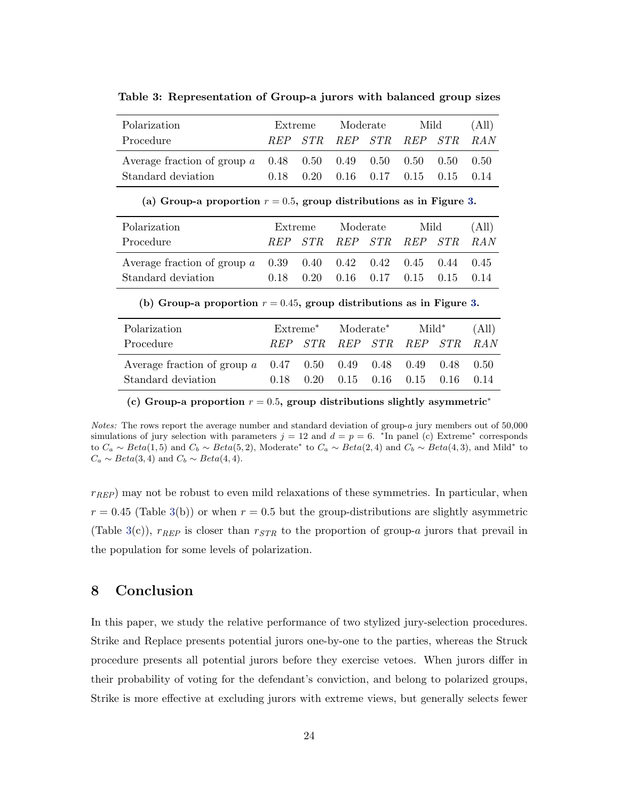| Polarization                                                       | Extreme |  | Moderate |  | Mild                                      |  | (All) |
|--------------------------------------------------------------------|---------|--|----------|--|-------------------------------------------|--|-------|
| Procedure                                                          |         |  |          |  | REP STR REP STR REP STR RAN               |  |       |
| Average fraction of group $a = 0.48$ 0.50 0.49 0.50 0.50 0.50 0.50 |         |  |          |  |                                           |  |       |
| Standard deviation                                                 | 0.18    |  |          |  | $0.20$ $0.16$ $0.17$ $0.15$ $0.15$ $0.14$ |  |       |

Table 3: Representation of Group-a jurors with balanced group sizes

(a) Group-a proportion  $r = 0.5$ , group distributions as in Figure 3.

| Polarization                                                                 | Extreme |  | Moderate                                         |  | Mild |  | (All) |
|------------------------------------------------------------------------------|---------|--|--------------------------------------------------|--|------|--|-------|
| Procedure                                                                    |         |  | REP STR REP STR REP STR RAN                      |  |      |  |       |
| Average fraction of group a $0.39$ $0.40$ $0.42$ $0.42$ $0.45$ $0.44$ $0.45$ |         |  |                                                  |  |      |  |       |
| Standard deviation                                                           |         |  | $0.18$ $0.20$ $0.16$ $0.17$ $0.15$ $0.15$ $0.14$ |  |      |  |       |

(b) Group-a proportion  $r = 0.45$ , group distributions as in Figure 3.

| Polarization                                                                   | $Extreme^*$ |  | Moderate*                                        |  | Mild* |  | (All) |
|--------------------------------------------------------------------------------|-------------|--|--------------------------------------------------|--|-------|--|-------|
| Procedure                                                                      |             |  | REP STR REP STR REP STR RAN                      |  |       |  |       |
| Average fraction of group $a = 0.47$ $0.50$ $0.49$ $0.48$ $0.49$ $0.48$ $0.50$ |             |  |                                                  |  |       |  |       |
| Standard deviation                                                             |             |  | $0.18$ $0.20$ $0.15$ $0.16$ $0.15$ $0.16$ $0.14$ |  |       |  |       |

(c) Group-a proportion  $r = 0.5$ , group distributions slightly asymmetric<sup>\*</sup>

Notes: The rows report the average number and standard deviation of group-a jury members out of 50,000 simulations of jury selection with parameters  $j = 12$  and  $d = p = 6$ . \*In panel (c) Extreme\* corresponds to  $C_a \sim Beta(1, 5)$  and  $C_b \sim Beta(5, 2)$ , Moderate<sup>\*</sup> to  $C_a \sim Beta(2, 4)$  and  $C_b \sim Beta(4, 3)$ , and Mild<sup>\*</sup> to  $C_a \sim Beta(3, 4)$  and  $C_b \sim Beta(4, 4)$ .

 $r_{REF}$ ) may not be robust to even mild relaxations of these symmetries. In particular, when  $r = 0.45$  (Table 3(b)) or when  $r = 0.5$  but the group-distributions are slightly asymmetric (Table 3(c)),  $r_{REP}$  is closer than  $r_{STR}$  to the proportion of group-a jurors that prevail in the population for some levels of polarization.

## 8 Conclusion

In this paper, we study the relative performance of two stylized jury-selection procedures. Strike and Replace presents potential jurors one-by-one to the parties, whereas the Struck procedure presents all potential jurors before they exercise vetoes. When jurors differ in their probability of voting for the defendant's conviction, and belong to polarized groups, Strike is more effective at excluding jurors with extreme views, but generally selects fewer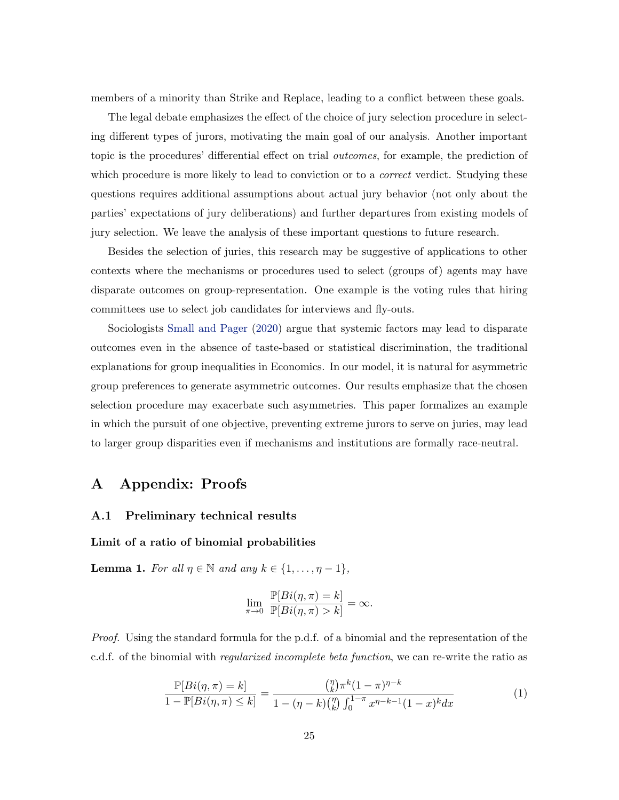members of a minority than Strike and Replace, leading to a conflict between these goals.

The legal debate emphasizes the effect of the choice of jury selection procedure in selecting different types of jurors, motivating the main goal of our analysis. Another important topic is the procedures' differential effect on trial outcomes, for example, the prediction of which procedure is more likely to lead to conviction or to a *correct* verdict. Studying these questions requires additional assumptions about actual jury behavior (not only about the parties' expectations of jury deliberations) and further departures from existing models of jury selection. We leave the analysis of these important questions to future research.

Besides the selection of juries, this research may be suggestive of applications to other contexts where the mechanisms or procedures used to select (groups of) agents may have disparate outcomes on group-representation. One example is the voting rules that hiring committees use to select job candidates for interviews and fly-outs.

Sociologists Small and Pager (2020) argue that systemic factors may lead to disparate outcomes even in the absence of taste-based or statistical discrimination, the traditional explanations for group inequalities in Economics. In our model, it is natural for asymmetric group preferences to generate asymmetric outcomes. Our results emphasize that the chosen selection procedure may exacerbate such asymmetries. This paper formalizes an example in which the pursuit of one objective, preventing extreme jurors to serve on juries, may lead to larger group disparities even if mechanisms and institutions are formally race-neutral.

## A Appendix: Proofs

#### A.1 Preliminary technical results

#### Limit of a ratio of binomial probabilities

**Lemma 1.** For all  $\eta \in \mathbb{N}$  and any  $k \in \{1, \ldots, \eta - 1\}$ ,

$$
\lim_{\pi \to 0} \frac{\mathbb{P}[Bi(\eta, \pi) = k]}{\mathbb{P}[Bi(\eta, \pi) > k]} = \infty.
$$

Proof. Using the standard formula for the p.d.f. of a binomial and the representation of the c.d.f. of the binomial with regularized incomplete beta function, we can re-write the ratio as

$$
\frac{\mathbb{P}[Bi(\eta,\pi)=k]}{1-\mathbb{P}[Bi(\eta,\pi)\leq k]} = \frac{\binom{\eta}{k}\pi^k(1-\pi)^{\eta-k}}{1-(\eta-k)\binom{\eta}{k}\int_0^{1-\pi}x^{\eta-k-1}(1-x)^kdx}
$$
(1)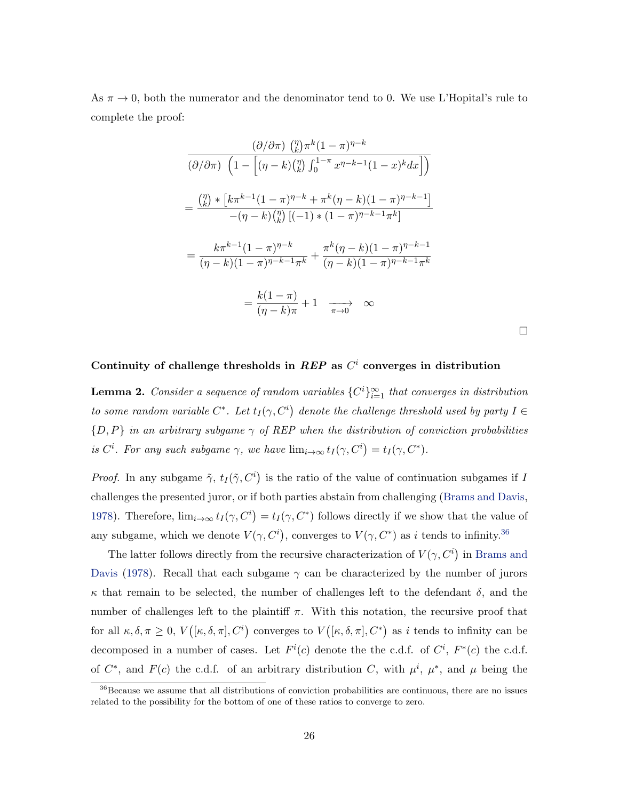As  $\pi \to 0$ , both the numerator and the denominator tend to 0. We use L'Hopital's rule to complete the proof:

$$
\frac{(\partial/\partial\pi) \binom{\eta}{k}\pi^k(1-\pi)^{\eta-k}}{(\partial/\partial\pi) \left(1-\left[(\eta-k)\binom{\eta}{k}\int_0^{1-\pi}x^{\eta-k-1}(1-x)^kdx\right]\right)}
$$
\n
$$
=\frac{\binom{\eta}{k}*\left[k\pi^{k-1}(1-\pi)^{\eta-k}+\pi^k(\eta-k)(1-\pi)^{\eta-k-1}\right]}{-(\eta-k)\binom{\eta}{k}\left[(-1)\ast(1-\pi)^{\eta-k-1}\pi^k\right]}
$$
\n
$$
=\frac{k\pi^{k-1}(1-\pi)^{\eta-k}}{(\eta-k)(1-\pi)^{\eta-k-1}\pi^k}+\frac{\pi^k(\eta-k)(1-\pi)^{\eta-k-1}}{(\eta-k)(1-\pi)^{\eta-k-1}\pi^k}
$$
\n
$$
=\frac{k(1-\pi)}{(\eta-k)\pi}+1\longrightarrow\infty
$$

 $\Box$ 

## Continuity of challenge thresholds in  $REP$  as  $C<sup>i</sup>$  converges in distribution

**Lemma 2.** Consider a sequence of random variables  $\{C^i\}_{i=1}^{\infty}$  that converges in distribution to some random variable  $C^*$ . Let  $t_I(\gamma, C^i)$  denote the challenge threshold used by party  $I \in$  ${D, P}$  in an arbitrary subgame  $\gamma$  of REP when the distribution of conviction probabilities is  $C^i$ . For any such subgame  $\gamma$ , we have  $\lim_{i\to\infty} t_I(\gamma, C^i) = t_I(\gamma, C^*)$ .

*Proof.* In any subgame  $\tilde{\gamma}$ ,  $t_I(\tilde{\gamma}, C^i)$  is the ratio of the value of continuation subgames if I challenges the presented juror, or if both parties abstain from challenging (Brams and Davis, 1978). Therefore,  $\lim_{i\to\infty} t_I(\gamma, C^i) = t_I(\gamma, C^*)$  follows directly if we show that the value of any subgame, which we denote  $V(\gamma, C^i)$ , converges to  $V(\gamma, C^*)$  as i tends to infinity.<sup>36</sup>

The latter follows directly from the recursive characterization of  $V(\gamma, C^i)$  in Brams and Davis (1978). Recall that each subgame  $\gamma$  can be characterized by the number of jurors  $\kappa$  that remain to be selected, the number of challenges left to the defendant  $\delta$ , and the number of challenges left to the plaintiff  $\pi$ . With this notation, the recursive proof that for all  $\kappa, \delta, \pi \geq 0$ ,  $V([\kappa, \delta, \pi], C^i)$  converges to  $V([\kappa, \delta, \pi], C^*)$  as i tends to infinity can be decomposed in a number of cases. Let  $F^i(c)$  denote the the c.d.f. of  $C^i$ ,  $F^*(c)$  the c.d.f. of  $C^*$ , and  $F(c)$  the c.d.f. of an arbitrary distribution C, with  $\mu^i$ ,  $\mu^*$ , and  $\mu$  being the

<sup>36</sup>Because we assume that all distributions of conviction probabilities are continuous, there are no issues related to the possibility for the bottom of one of these ratios to converge to zero.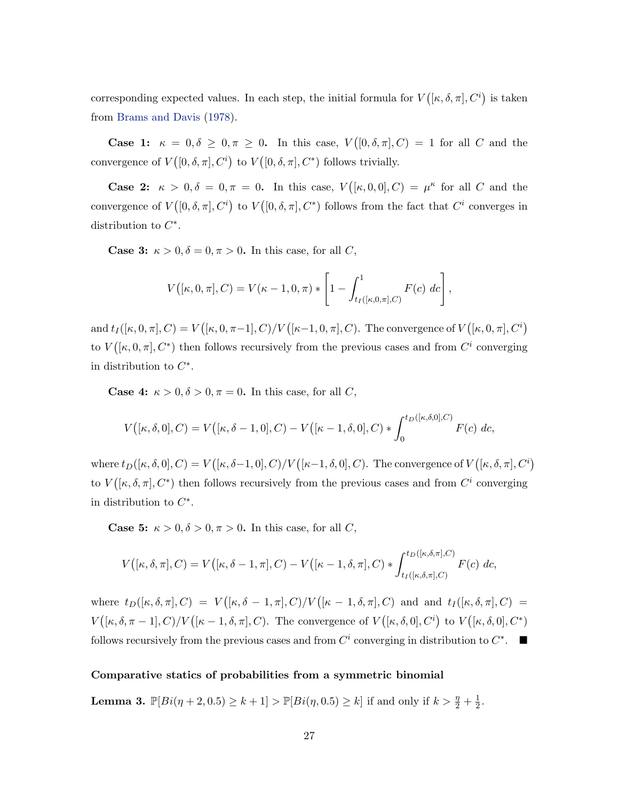corresponding expected values. In each step, the initial formula for  $V([\kappa, \delta, \pi], C^i)$  is taken from Brams and Davis (1978).

Case 1:  $\kappa = 0, \delta \geq 0, \pi \geq 0$ . In this case,  $V([0, \delta, \pi], C) = 1$  for all C and the convergence of  $V([0, \delta, \pi], C^i)$  to  $V([0, \delta, \pi], C^*)$  follows trivially.

Case 2:  $\kappa > 0, \delta = 0, \pi = 0$ . In this case,  $V([\kappa, 0, 0], C) = \mu^{\kappa}$  for all C and the convergence of  $V([0, \delta, \pi], C^i)$  to  $V([0, \delta, \pi], C^*)$  follows from the fact that  $C^i$  converges in distribution to  $C^*$ .

**Case 3:**  $\kappa > 0$ ,  $\delta = 0$ ,  $\pi > 0$ . In this case, for all C,

$$
V([\kappa, 0, \pi], C) = V(\kappa - 1, 0, \pi) * \left[1 - \int_{t_I([\kappa, 0, \pi], C)}^1 F(c) \, dc\right],
$$

and  $t_I([k, 0, \pi], C) = V([k, 0, \pi-1], C)/V([k-1, 0, \pi], C)$ . The convergence of  $V([k, 0, \pi], C^i)$ to  $V([\kappa, 0, \pi], C^*)$  then follows recursively from the previous cases and from  $C^i$  converging in distribution to  $C^*$ .

**Case 4:**  $\kappa > 0, \delta > 0, \pi = 0$ . In this case, for all C,

$$
V([\kappa, \delta, 0], C) = V([\kappa, \delta - 1, 0], C) - V([\kappa - 1, \delta, 0], C) * \int_0^{t_D([\kappa, \delta, 0], C)} F(c) dc,
$$

where  $t_D([\kappa, \delta, 0], C) = V([\kappa, \delta-1, 0], C)/V([\kappa-1, \delta, 0], C)$ . The convergence of  $V([\kappa, \delta, \pi], C^i)$ to  $V([\kappa, \delta, \pi], C^*)$  then follows recursively from the previous cases and from  $C^i$  converging in distribution to  $C^*$ .

**Case 5:**  $\kappa > 0, \delta > 0, \pi > 0$ . In this case, for all C,

$$
V([\kappa,\delta,\pi],C) = V([\kappa,\delta-1,\pi],C) - V([\kappa-1,\delta,\pi],C) * \int_{t_I([\kappa,\delta,\pi],C)}^{t_D([\kappa,\delta,\pi],C)} F(c) dc,
$$

where  $t_D([\kappa, \delta, \pi], C) = V([\kappa, \delta - 1, \pi], C)/V([\kappa - 1, \delta, \pi], C)$  and and  $t_I([\kappa, \delta, \pi], C) =$  $V([ \kappa, \delta, \pi-1], C)/V([ \kappa-1, \delta, \pi], C)$ . The convergence of  $V([ \kappa, \delta, 0], C^i)$  to  $V([ \kappa, \delta, 0], C^*)$ follows recursively from the previous cases and from  $C^i$  converging in distribution to  $C^*$ .

#### Comparative statics of probabilities from a symmetric binomial

**Lemma 3.**  $\mathbb{P}[Bi(\eta + 2, 0.5) \ge k + 1] > \mathbb{P}[Bi(\eta, 0.5) \ge k]$  if and only if  $k > \frac{\eta}{2} + \frac{1}{2}$  $\frac{1}{2}$ .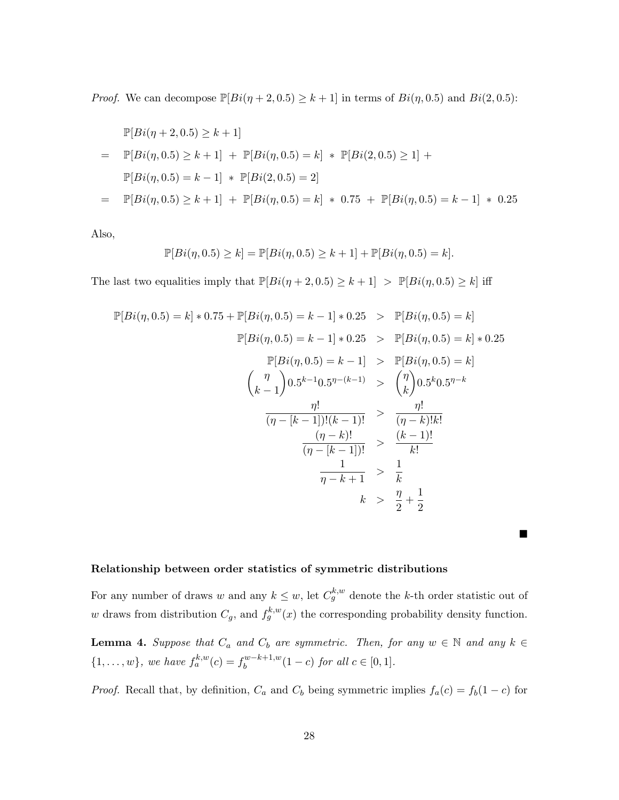*Proof.* We can decompose  $\mathbb{P}[Bi(\eta + 2, 0.5) \ge k + 1]$  in terms of  $Bi(\eta, 0.5)$  and  $Bi(2, 0.5)$ :

$$
\mathbb{P}[Bi(\eta + 2, 0.5) \ge k + 1]
$$
\n
$$
= \mathbb{P}[Bi(\eta, 0.5) \ge k + 1] + \mathbb{P}[Bi(\eta, 0.5) = k] * \mathbb{P}[Bi(2, 0.5) \ge 1] +
$$
\n
$$
\mathbb{P}[Bi(\eta, 0.5) = k - 1] * \mathbb{P}[Bi(2, 0.5) = 2]
$$
\n
$$
= \mathbb{P}[Bi(\eta, 0.5) \ge k + 1] + \mathbb{P}[Bi(\eta, 0.5) = k] * 0.75 + \mathbb{P}[Bi(\eta, 0.5) = k - 1] * 0.25
$$

Also,

$$
\mathbb{P}[Bi(\eta, 0.5) \ge k] = \mathbb{P}[Bi(\eta, 0.5) \ge k + 1] + \mathbb{P}[Bi(\eta, 0.5) = k].
$$

The last two equalities imply that  $\mathbb{P}[Bi(\eta + 2, 0.5) \ge k + 1] > \mathbb{P}[Bi(\eta, 0.5) \ge k]$  iff

$$
\mathbb{P}[Bi(\eta, 0.5) = k] * 0.75 + \mathbb{P}[Bi(\eta, 0.5) = k - 1] * 0.25 > \mathbb{P}[Bi(\eta, 0.5) = k]
$$
  
\n
$$
\mathbb{P}[Bi(\eta, 0.5) = k - 1] * 0.25 > \mathbb{P}[Bi(\eta, 0.5) = k] * 0.25
$$
  
\n
$$
\mathbb{P}[Bi(\eta, 0.5) = k - 1] > \mathbb{P}[Bi(\eta, 0.5) = k]
$$
  
\n
$$
\left(\begin{array}{c} \eta \\ k - 1 \end{array}\right) 0.5^{k - 1} 0.5^{\eta - (k - 1)} > \left(\begin{array}{c} \eta \\ k \end{array}\right) 0.5^{k} 0.5^{\eta - k}
$$
  
\n
$$
\frac{\eta!}{(\eta - [k - 1])!(k - 1)!} > \frac{\eta!}{(\eta - k)!k!}
$$
  
\n
$$
\frac{(\eta - k)!}{(\eta - [k - 1])!} > \frac{(k - 1)!}{k!}
$$
  
\n
$$
k > \frac{\eta}{2} + \frac{1}{2}
$$

## Relationship between order statistics of symmetric distributions

For any number of draws w and any  $k \leq w$ , let  $C_g^{k,w}$  denote the k-th order statistic out of w draws from distribution  $C_g$ , and  $f_g^{k,w}(x)$  the corresponding probability density function.

 $\blacksquare$ 

**Lemma 4.** Suppose that  $C_a$  and  $C_b$  are symmetric. Then, for any  $w \in \mathbb{N}$  and any  $k \in \mathbb{N}$  $\{1,\ldots,w\}$ , we have  $f_a^{k,w}(c) = f_b^{w-k+1,w}(1-c)$  for all  $c \in [0,1]$ .

*Proof.* Recall that, by definition,  $C_a$  and  $C_b$  being symmetric implies  $f_a(c) = f_b(1 - c)$  for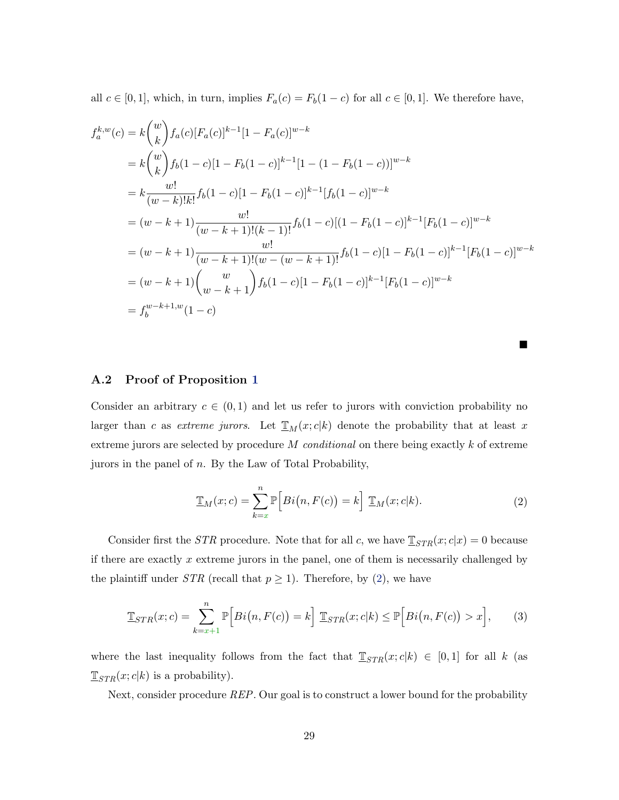all  $c \in [0, 1]$ , which, in turn, implies  $F_a(c) = F_b(1 - c)$  for all  $c \in [0, 1]$ . We therefore have,

$$
f_a^{k,w}(c) = k {w \choose k} f_a(c) [F_a(c)]^{k-1} [1 - F_a(c)]^{w-k}
$$
  
\n
$$
= k {w \choose k} f_b(1-c) [1 - F_b(1-c)]^{k-1} [1 - (1 - F_b(1-c))]^{w-k}
$$
  
\n
$$
= k \frac{w!}{(w-k)!k!} f_b(1-c) [1 - F_b(1-c)]^{k-1} [f_b(1-c)]^{w-k}
$$
  
\n
$$
= (w-k+1) \frac{w!}{(w-k+1)!(k-1)!} f_b(1-c) [(1 - F_b(1-c)]^{k-1} [F_b(1-c)]^{w-k}
$$
  
\n
$$
= (w-k+1) \frac{w!}{(w-k+1)!(w-(w-k+1)!} f_b(1-c) [1 - F_b(1-c)]^{k-1} [F_b(1-c)]^{w-k}
$$
  
\n
$$
= (w-k+1) {w \choose w-k+1} f_b(1-c) [1 - F_b(1-c)]^{k-1} [F_b(1-c)]^{w-k}
$$
  
\n
$$
= f_b^{w-k+1,w}(1-c)
$$

п

#### A.2 Proof of Proposition 1

Consider an arbitrary  $c \in (0,1)$  and let us refer to jurors with conviction probability no larger than c as extreme jurors. Let  $\mathbb{I}_{M}(x; c|k)$  denote the probability that at least x extreme jurors are selected by procedure  $M$  *conditional* on there being exactly  $k$  of extreme jurors in the panel of n. By the Law of Total Probability,

$$
\underline{\mathbb{T}}_M(x;c) = \sum_{k=x}^n \mathbb{P}\Big[Bi\big(n, F(c)\big) = k\Big] \underline{\mathbb{T}}_M(x;c|k). \tag{2}
$$

Consider first the *STR* procedure. Note that for all c, we have  $\mathbb{I}_{STR}(x; c|x) = 0$  because if there are exactly  $x$  extreme jurors in the panel, one of them is necessarily challenged by the plaintiff under *STR* (recall that  $p \ge 1$ ). Therefore, by (2), we have

$$
\mathbb{I}_{STR}(x;c) = \sum_{k=x+1}^{n} \mathbb{P}\Big[Bi\big(n, F(c)\big) = k\Big] \mathbb{I}_{STR}(x;c|k) \le \mathbb{P}\Big[Bi\big(n, F(c)\big) > x\Big],\tag{3}
$$

where the last inequality follows from the fact that  $\mathbb{I}_{STR}(x; c|k) \in [0, 1]$  for all k (as  $\mathbb{I}_{STR}(x; c|k)$  is a probability).

Next, consider procedure REP. Our goal is to construct a lower bound for the probability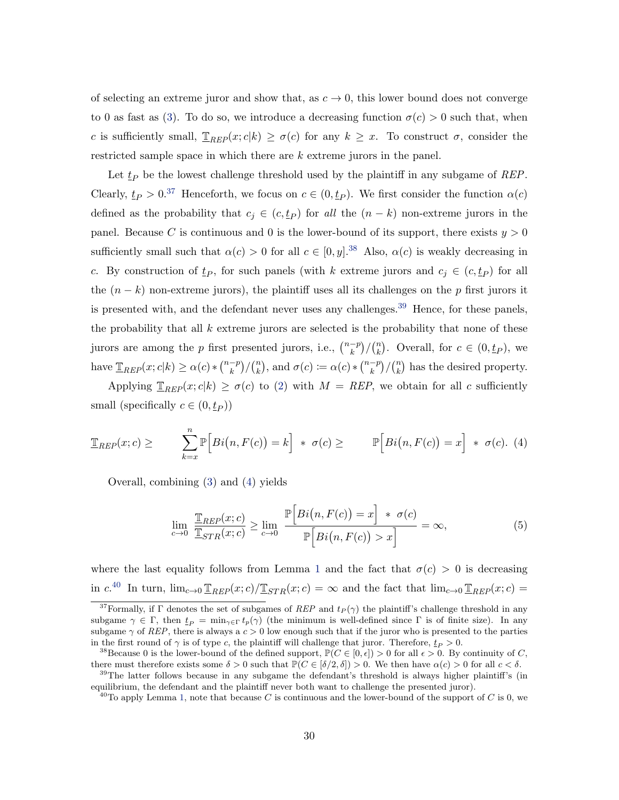of selecting an extreme juror and show that, as  $c \to 0$ , this lower bound does not converge to 0 as fast as (3). To do so, we introduce a decreasing function  $\sigma(c) > 0$  such that, when c is sufficiently small,  $\mathbb{I}_{REP}(x; c|k) \ge \sigma(c)$  for any  $k \ge x$ . To construct  $\sigma$ , consider the restricted sample space in which there are k extreme jurors in the panel.

Let  $t_P$  be the lowest challenge threshold used by the plaintiff in any subgame of REP. Clearly,  $t_P > 0.37$  Henceforth, we focus on  $c \in (0, t_P)$ . We first consider the function  $\alpha(c)$ defined as the probability that  $c_j \in (c, t_p)$  for all the  $(n - k)$  non-extreme jurors in the panel. Because C is continuous and 0 is the lower-bound of its support, there exists  $y > 0$ sufficiently small such that  $\alpha(c) > 0$  for all  $c \in [0, y]$ .<sup>38</sup> Also,  $\alpha(c)$  is weakly decreasing in c. By construction of  $\underline{t}_P$ , for such panels (with k extreme jurors and  $c_j \in (c, \underline{t}_P)$  for all the  $(n - k)$  non-extreme jurors), the plaintiff uses all its challenges on the p first jurors it is presented with, and the defendant never uses any challenges.<sup>39</sup> Hence, for these panels, the probability that all  $k$  extreme jurors are selected is the probability that none of these jurors are among the *p* first presented jurors, i.e.,  $\binom{n-p}{k}/\binom{n}{k}$  $\binom{n}{k}$ . Overall, for  $c \in (0, t_P)$ , we have  $\mathcal{I}_{REP}(x; c|k) \ge \alpha(c) * \binom{n-p}{k} / \binom{n}{k}$  $\binom{n}{k}$ , and  $\sigma(c) := \alpha(c) * \binom{n-p}{k} / \binom{n}{k}$  $\binom{n}{k}$  has the desired property.

Applying  $\mathbb{I}_{REP}(x; c|k) \ge \sigma(c)$  to (2) with  $M = REP$ , we obtain for all c sufficiently small (specifically  $c \in (0, t_P)$ )

$$
\mathbb{I}_{REP}(x;c) \geq \sum_{k=x}^{n} \mathbb{P}\Big[Bi(n,F(c)) = k\Big] * \sigma(c) \geq \mathbb{P}\Big[Bi(n,F(c)) = x\Big] * \sigma(c). \tag{4}
$$

Overall, combining (3) and (4) yields

$$
\lim_{c \to 0} \frac{\mathbb{I}_{REP}(x;c)}{\mathbb{I}_{STR}(x;c)} \ge \lim_{c \to 0} \frac{\mathbb{P}\Big[Bi(n, F(c)) = x\Big] * \sigma(c)}{\mathbb{P}\Big[Bi(n, F(c)) > x\Big]} = \infty,
$$
\n(5)

where the last equality follows from Lemma 1 and the fact that  $\sigma(c) > 0$  is decreasing in  $c^{40}$  In turn,  $\lim_{c\to 0} \mathbb{I}_{REP}(x;c)/\mathbb{I}_{STR}(x;c) = \infty$  and the fact that  $\lim_{c\to 0} \mathbb{I}_{REP}(x;c) =$ 

<sup>&</sup>lt;sup>37</sup>Formally, if Γ denotes the set of subgames of REP and  $t_P(\gamma)$  the plaintiff's challenge threshold in any subgame  $\gamma \in \Gamma$ , then  $\underline{t}_P = \min_{\gamma \in \Gamma} t_p(\gamma)$  (the minimum is well-defined since  $\Gamma$  is of finite size). In any subgame  $\gamma$  of REP, there is always a  $c > 0$  low enough such that if the juror who is presented to the parties in the first round of  $\gamma$  is of type c, the plaintiff will challenge that juror. Therefore,  $\underline{t}_P > 0$ .

<sup>&</sup>lt;sup>38</sup>Because 0 is the lower-bound of the defined support,  $\mathbb{P}(C \in [0, \epsilon]) > 0$  for all  $\epsilon > 0$ . By continuity of C, there must therefore exists some  $\delta > 0$  such that  $\mathbb{P}(C \in [\delta/2, \delta]) > 0$ . We then have  $\alpha(c) > 0$  for all  $c < \delta$ .

<sup>&</sup>lt;sup>39</sup>The latter follows because in any subgame the defendant's threshold is always higher plaintiff's (in equilibrium, the defendant and the plaintiff never both want to challenge the presented juror).

<sup>&</sup>lt;sup>40</sup>To apply Lemma 1, note that because C is continuous and the lower-bound of the support of C is 0, we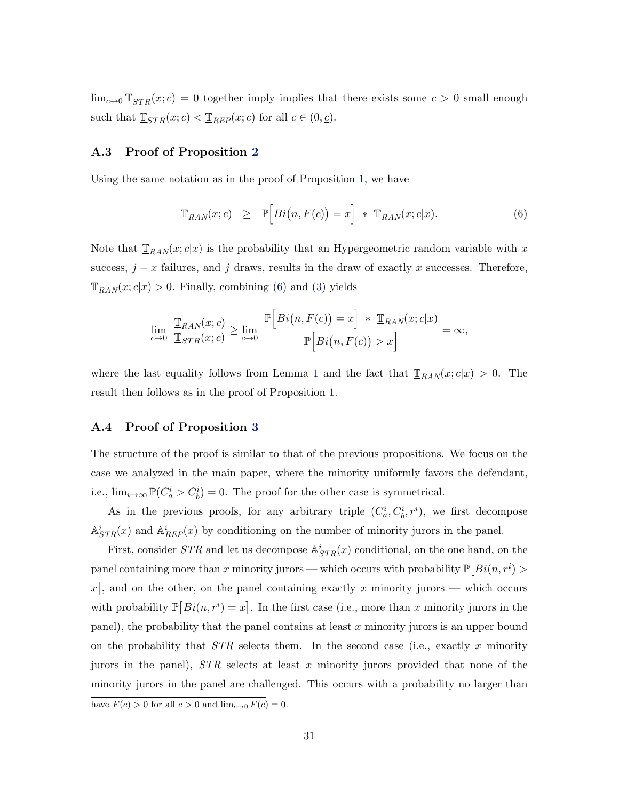$\lim_{c\to 0} \mathbb{I}_{STR}(x; c) = 0$  together imply implies that there exists some  $c > 0$  small enough such that  $\underline{\mathbb{T}}_{STR}(x; c) < \underline{\mathbb{T}}_{REP}(x; c)$  for all  $c \in (0, \underline{c})$ .

#### A.3 Proof of Proposition 2

Using the same notation as in the proof of Proposition 1, we have

$$
\mathbb{T}_{RAN}(x;c) \geq \mathbb{P}\Big[Bi(n,F(c)) = x\Big] * \mathbb{T}_{RAN}(x;c|x). \tag{6}
$$

Note that  $\mathbb{T}_{RAN}(x; c|x)$  is the probability that an Hypergeometric random variable with x success,  $j - x$  failures, and j draws, results in the draw of exactly x successes. Therefore,  $\mathbb{T}_{RAN}(x;c|x) > 0$ . Finally, combining (6) and (3) yields

$$
\lim_{c \to 0} \frac{\mathbb{I}_{RAN}(x;c)}{\mathbb{I}_{STR}(x;c)} \ge \lim_{c \to 0} \frac{\mathbb{P}\Big[Bi(n, F(c)) = x\Big] + \mathbb{I}_{RAN}(x;c|x)}{\mathbb{P}\Big[Bi(n, F(c)) > x\Big]} = \infty,
$$

where the last equality follows from Lemma 1 and the fact that  $\mathbb{I}_{RAN}(x;c|x) > 0$ . The result then follows as in the proof of Proposition 1.

### A.4 Proof of Proposition 3

The structure of the proof is similar to that of the previous propositions. We focus on the case we analyzed in the main paper, where the minority uniformly favors the defendant, i.e.,  $\lim_{i\to\infty} \mathbb{P}(C_a^i > C_b^i) = 0$ . The proof for the other case is symmetrical.

As in the previous proofs, for any arbitrary triple  $(C_a^i, C_b^i, r^i)$ , we first decompose  $\mathbb{A}^i_{STR}(x)$  and  $\mathbb{A}^i_{REF}(x)$  by conditioning on the number of minority jurors in the panel.

First, consider  $STR$  and let us decompose  $\mathbb{A}^i_{STR}(x)$  conditional, on the one hand, on the panel containing more than x minority jurors — which occurs with probability  $\mathbb{P}\left[Bi(n, r^{i})\right]$ x, and on the other, on the panel containing exactly x minority jurors – which occurs with probability  $\mathbb{P}[Bi(n, r^{i}) = x]$ . In the first case (i.e., more than x minority jurors in the panel), the probability that the panel contains at least  $x$  minority jurors is an upper bound on the probability that  $STR$  selects them. In the second case (i.e., exactly x minority jurors in the panel),  $STR$  selects at least x minority jurors provided that none of the minority jurors in the panel are challenged. This occurs with a probability no larger than have  $F(c) > 0$  for all  $c > 0$  and  $\lim_{c \to 0} F(c) = 0$ .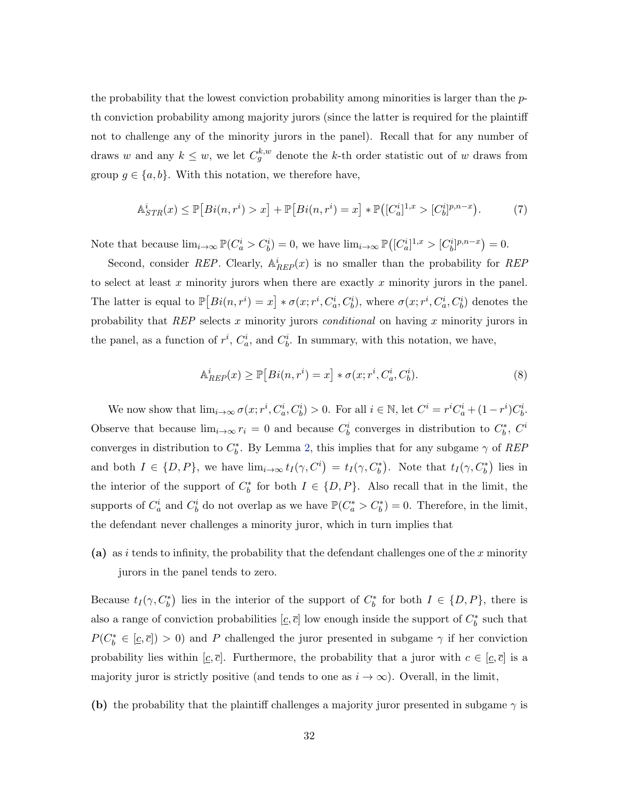the probability that the lowest conviction probability among minorities is larger than the  $p$ th conviction probability among majority jurors (since the latter is required for the plaintiff not to challenge any of the minority jurors in the panel). Recall that for any number of draws w and any  $k \leq w$ , we let  $C_g^{k,w}$  denote the k-th order statistic out of w draws from group  $g \in \{a, b\}$ . With this notation, we therefore have,

$$
\mathbb{A}_{STR}^{i}(x) \le \mathbb{P}[Bi(n, r^{i}) > x] + \mathbb{P}[Bi(n, r^{i}) = x] * \mathbb{P}([C_{a}^{i}]^{1, x} > [C_{b}^{i}]^{p, n-x}).
$$
 (7)

Note that because  $\lim_{i\to\infty} \mathbb{P}(C_a^i > C_b^i) = 0$ , we have  $\lim_{i\to\infty} \mathbb{P}([C_a^i]^{1,x} > [C_b^i]^{p,n-x}) = 0$ .

Second, consider REP. Clearly,  $\mathbb{A}_{REP}^i(x)$  is no smaller than the probability for REP to select at least  $x$  minority jurors when there are exactly  $x$  minority jurors in the panel. The latter is equal to  $\mathbb{P}[Bi(n, r^i) = x] * \sigma(x; r^i, C_a^i, C_b^i)$ , where  $\sigma(x; r^i, C_a^i, C_b^i)$  denotes the probability that  $REP$  selects x minority jurors *conditional* on having x minority jurors in the panel, as a function of  $r^i$ ,  $C_a^i$ , and  $C_b^i$ . In summary, with this notation, we have,

$$
\mathbb{A}_{REP}^{i}(x) \ge \mathbb{P}\left[Bi(n, r^{i}) = x\right] * \sigma(x; r^{i}, C_{a}^{i}, C_{b}^{i}).\tag{8}
$$

We now show that  $\lim_{i\to\infty} \sigma(x; r^i, C_a^i, C_b^i) > 0$ . For all  $i \in \mathbb{N}$ , let  $C^i = r^i C_a^i + (1 - r^i) C_b^i$ . Observe that because  $\lim_{i\to\infty} r_i = 0$  and because  $C_b^i$  converges in distribution to  $C_b^*$ ,  $C^i$ converges in distribution to  $C_b^*$ . By Lemma 2, this implies that for any subgame  $\gamma$  of REP and both  $I \in \{D, P\}$ , we have  $\lim_{i \to \infty} t_I(\gamma, C^i) = t_I(\gamma, C^*_b)$ . Note that  $t_I(\gamma, C^*_b)$  lies in the interior of the support of  $C_b^*$  for both  $I \in \{D, P\}$ . Also recall that in the limit, the supports of  $C_a^i$  and  $C_b^i$  do not overlap as we have  $\mathbb{P}(C_a^* > C_b^*) = 0$ . Therefore, in the limit, the defendant never challenges a minority juror, which in turn implies that

(a) as i tends to infinity, the probability that the defendant challenges one of the x minority jurors in the panel tends to zero.

Because  $t_I(\gamma, C_b^*)$  lies in the interior of the support of  $C_b^*$  for both  $I \in \{D, P\}$ , there is also a range of conviction probabilities  $[\underline{c}, \overline{c}]$  low enough inside the support of  $C_b^*$  such that  $P(C_b^* \in [\underline{c}, \overline{c}]) > 0$  and P challenged the juror presented in subgame  $\gamma$  if her conviction probability lies within  $[\underline{c}, \overline{c}]$ . Furthermore, the probability that a juror with  $c \in [\underline{c}, \overline{c}]$  is a majority juror is strictly positive (and tends to one as  $i \to \infty$ ). Overall, in the limit,

(b) the probability that the plaintiff challenges a majority juror presented in subgame  $\gamma$  is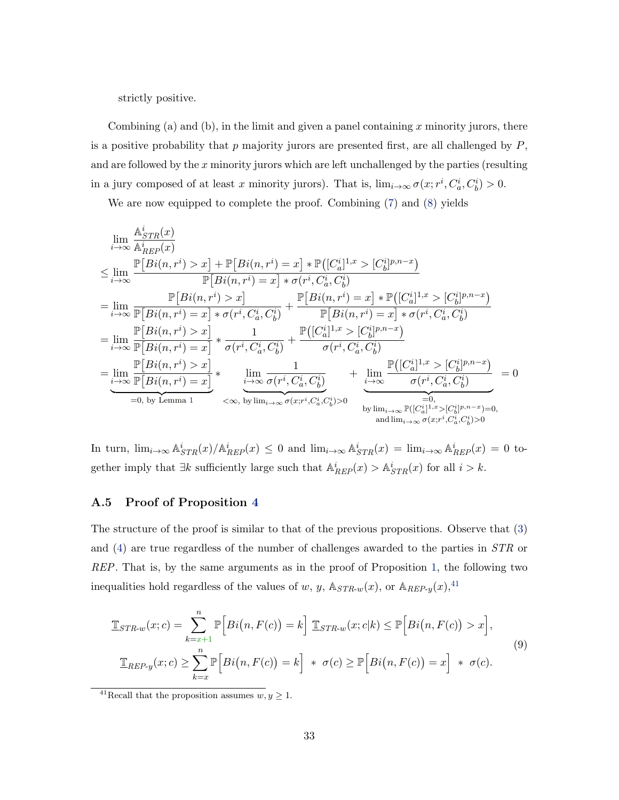strictly positive.

Combining (a) and (b), in the limit and given a panel containing  $x$  minority jurors, there is a positive probability that  $p$  majority jurors are presented first, are all challenged by  $P$ , and are followed by the  $x$  minority jurors which are left unchallenged by the parties (resulting in a jury composed of at least x minority jurors). That is,  $\lim_{i\to\infty} \sigma(x; r^i, C_a^i, C_b^i) > 0$ .

We are now equipped to complete the proof. Combining (7) and (8) yields

$$
\lim_{i \to \infty} \frac{A_{STR}^{i}(x)}{A_{REP}^{i}(x)}
$$
\n
$$
\leq \lim_{i \to \infty} \frac{\mathbb{P}[Bi(n, r^{i}) > x] + \mathbb{P}[Bi(n, r^{i}) = x] * \mathbb{P}((C_{a}^{i})^{1,x} > (C_{b}^{i})^{p,n-x})}{\mathbb{P}[Bi(n, r^{i}) = x] * \sigma(r^{i}, C_{a}^{i}, C_{b}^{i})}
$$
\n
$$
= \lim_{i \to \infty} \frac{\mathbb{P}[Bi(n, r^{i}) > x]}{\mathbb{P}[Bi(n, r^{i}) = x] * \sigma(r^{i}, C_{a}^{i}, C_{b}^{i})} + \frac{\mathbb{P}[Bi(n, r^{i}) = x] * \mathbb{P}((C_{a}^{i})^{1,x} > (C_{b}^{i})^{p,n-x})}{\mathbb{P}[Bi(n, r^{i}) = x] * \sigma(r^{i}, C_{a}^{i}, C_{b}^{i})}
$$
\n
$$
= \lim_{i \to \infty} \frac{\mathbb{P}[Bi(n, r^{i}) > x]}{\mathbb{P}[Bi(n, r^{i}) = x]} * \frac{1}{\sigma(r^{i}, C_{a}^{i}, C_{b}^{i})} + \frac{\mathbb{P}([C_{a}^{i})^{1,x} > (C_{b}^{i})^{p,n-x})}{\sigma(r^{i}, C_{a}^{i}, C_{b}^{i})}
$$
\n
$$
= \lim_{i \to \infty} \frac{\mathbb{P}[Bi(n, r^{i}) > x]}{\mathbb{P}[Bi(n, r^{i}) = x]} * \frac{1}{\sigma(r^{i}, C_{a}^{i}, C_{b}^{i})} + \frac{\mathbb{P}([C_{a}^{i})^{1,x} > (C_{b}^{i})^{p,n-x})}{\sigma(r^{i}, C_{a}^{i}, C_{b}^{i})}
$$
\n
$$
= 0, \text{ by Lemma 1} \iff \lim_{i \to \infty} \frac{1}{\sigma(x, r^{i}, C_{a}^{i}, C_{b}^{i})} \iff \lim_{i \to \infty} \frac{\mathbb{P}([C_{a}^{i}]^{1,x} > (C_{b}^{i})^{p,n-x})}{\sigma(r^{i}, C_{a}^{i}, C_{b}^{i})}
$$
\n
$$
= 0, \text{ by Lemma 1} \iff \lim_{
$$

In turn,  $\lim_{i\to\infty} A_{STR}^i(x)/A_{REF}^i(x) \leq 0$  and  $\lim_{i\to\infty} A_{STR}^i(x) = \lim_{i\to\infty} A_{REF}^i(x) = 0$  together imply that  $\exists k$  sufficiently large such that  $\mathbb{A}_{REP}^i(x) > \mathbb{A}_{STR}^i(x)$  for all  $i > k$ .

### A.5 Proof of Proposition 4

The structure of the proof is similar to that of the previous propositions. Observe that (3) and (4) are true regardless of the number of challenges awarded to the parties in STR or REP. That is, by the same arguments as in the proof of Proposition 1, the following two inequalities hold regardless of the values of w, y,  $\mathbb{A}_{STR-w}(x)$ , or  $\mathbb{A}_{REF-y}(x)$ ,<sup>41</sup>

$$
\mathbb{I}_{STR\text{-}w}(x;c) = \sum_{k=x+1}^{n} \mathbb{P}\Big[Bi\big(n, F(c)\big) = k\Big] \mathbb{I}_{STR\text{-}w}(x;c|k) \le \mathbb{P}\Big[Bi\big(n, F(c)\big) > x\Big],
$$
\n
$$
\mathbb{I}_{REF\text{-}y}(x;c) \ge \sum_{k=x}^{n} \mathbb{P}\Big[Bi\big(n, F(c)\big) = k\Big] \quad * \quad \sigma(c) \ge \mathbb{P}\Big[Bi\big(n, F(c)\big) = x\Big] \quad * \quad \sigma(c).
$$
\n
$$
(9)
$$

<sup>&</sup>lt;sup>41</sup>Recall that the proposition assumes  $w, y \ge 1$ .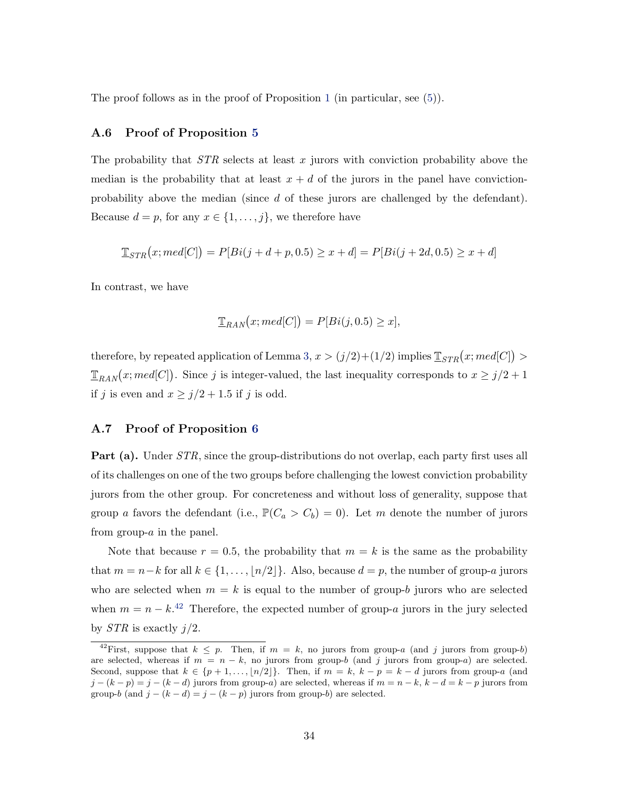The proof follows as in the proof of Proposition 1 (in particular, see (5)).

#### A.6 Proof of Proposition 5

The probability that  $STR$  selects at least x jurors with conviction probability above the median is the probability that at least  $x + d$  of the jurors in the panel have convictionprobability above the median (since d of these jurors are challenged by the defendant). Because  $d = p$ , for any  $x \in \{1, \ldots, j\}$ , we therefore have

$$
\mathbb{E}_{STR}\big(x; med[C]\big) = P[Bi(j+d+p, 0.5) \geq x + d] = P[Bi(j+2d, 0.5) \geq x + d]
$$

In contrast, we have

$$
\mathbb{T}_{RAN}(x; med[C]) = P[Bi(j, 0.5) \geq x],
$$

therefore, by repeated application of Lemma 3,  $x > (j/2)+(1/2)$  implies  $\mathbb{I}_{STR}(x; med[C]) >$  $\mathbb{T}_{RAN}(x; med[C])$ . Since j is integer-valued, the last inequality corresponds to  $x \geq j/2 + 1$ if j is even and  $x \ge j/2 + 1.5$  if j is odd.

#### A.7 Proof of Proposition 6

**Part (a).** Under *STR*, since the group-distributions do not overlap, each party first uses all of its challenges on one of the two groups before challenging the lowest conviction probability jurors from the other group. For concreteness and without loss of generality, suppose that group a favors the defendant (i.e.,  $\mathbb{P}(C_a > C_b) = 0$ ). Let m denote the number of jurors from group- $a$  in the panel.

Note that because  $r = 0.5$ , the probability that  $m = k$  is the same as the probability that  $m = n-k$  for all  $k \in \{1, ..., \lfloor n/2 \rfloor\}$ . Also, because  $d = p$ , the number of group-a jurors who are selected when  $m = k$  is equal to the number of group-b jurors who are selected when  $m = n - k^{2}$  Therefore, the expected number of group-a jurors in the jury selected by  $STR$  is exactly  $j/2$ .

<sup>&</sup>lt;sup>42</sup>First, suppose that  $k \leq p$ . Then, if  $m = k$ , no jurors from group-a (and j jurors from group-b) are selected, whereas if  $m = n - k$ , no jurors from group-b (and j jurors from group-a) are selected. Second, suppose that  $k \in \{p+1,\ldots,|n/2|\}$ . Then, if  $m = k$ ,  $k - p = k - d$  jurors from group-a (and  $j - (k - p) = j - (k - d)$  jurors from group-a) are selected, whereas if  $m = n - k$ ,  $k - d = k - p$  jurors from group-b (and  $j - (k - d) = j - (k - p)$  jurors from group-b) are selected.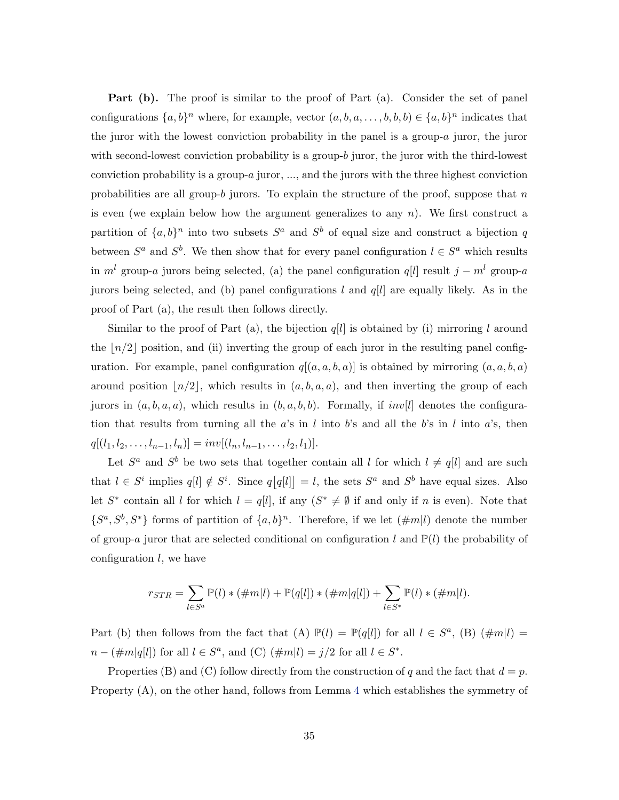Part (b). The proof is similar to the proof of Part (a). Consider the set of panel configurations  $\{a, b\}^n$  where, for example, vector  $(a, b, a, \ldots, b, b, b) \in \{a, b\}^n$  indicates that the juror with the lowest conviction probability in the panel is a group-a juror, the juror with second-lowest conviction probability is a group-b juror, the juror with the third-lowest conviction probability is a group-a juror, ..., and the jurors with the three highest conviction probabilities are all group-b jurors. To explain the structure of the proof, suppose that  $n$ is even (we explain below how the argument generalizes to any  $n$ ). We first construct a partition of  $\{a, b\}^n$  into two subsets  $S^a$  and  $S^b$  of equal size and construct a bijection q between  $S^a$  and  $S^b$ . We then show that for every panel configuration  $l \in S^a$  which results in  $m<sup>l</sup>$  group-a jurors being selected, (a) the panel configuration q[l] result  $j - m<sup>l</sup>$  group-a jurors being selected, and (b) panel configurations l and  $q[l]$  are equally likely. As in the proof of Part (a), the result then follows directly.

Similar to the proof of Part (a), the bijection  $q[l]$  is obtained by (i) mirroring l around the  $\lfloor n/2 \rfloor$  position, and (ii) inverting the group of each juror in the resulting panel configuration. For example, panel configuration  $q[(a, a, b, a)]$  is obtained by mirroring  $(a, a, b, a)$ around position  $|n/2|$ , which results in  $(a, b, a, a)$ , and then inverting the group of each jurors in  $(a, b, a, a)$ , which results in  $(b, a, b, b)$ . Formally, if  $inv[l]$  denotes the configuration that results from turning all the a's in l into b's and all the b's in l into a's, then  $q[(l_1, l_2, \ldots, l_{n-1}, l_n)] = inv[(l_n, l_{n-1}, \ldots, l_2, l_1)].$ 

Let  $S^a$  and  $S^b$  be two sets that together contain all l for which  $l \neq q[l]$  and are such that  $l \in S^i$  implies  $q[l] \notin S^i$ . Since  $q[q[l]] = l$ , the sets  $S^a$  and  $S^b$  have equal sizes. Also let  $S^*$  contain all l for which  $l = q[l]$ , if any  $(S^* \neq \emptyset$  if and only if n is even). Note that  $\{S^a, S^b, S^*\}$  forms of partition of  $\{a, b\}^n$ . Therefore, if we let  $(\#m|l)$  denote the number of group-a juror that are selected conditional on configuration l and  $\mathbb{P}(l)$  the probability of configuration  $l$ , we have

$$
r_{STR} = \sum_{l \in S^a} \mathbb{P}(l) * (\#m|l) + \mathbb{P}(q[l]) * (\#m|q[l]) + \sum_{l \in S^*} \mathbb{P}(l) * (\#m|l).
$$

Part (b) then follows from the fact that (A)  $\mathbb{P}(l) = \mathbb{P}(q[l])$  for all  $l \in S^a$ , (B)  $(\#m|l) =$  $n - (\#m|q[l])$  for all  $l \in S^a$ , and (C)  $(\#m|l) = j/2$  for all  $l \in S^*$ .

Properties (B) and (C) follow directly from the construction of q and the fact that  $d = p$ . Property (A), on the other hand, follows from Lemma 4 which establishes the symmetry of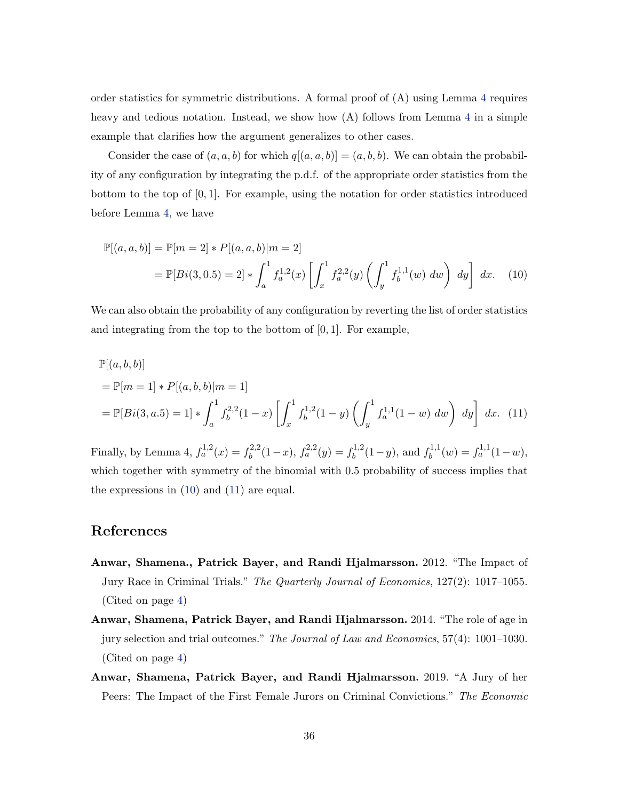order statistics for symmetric distributions. A formal proof of (A) using Lemma 4 requires heavy and tedious notation. Instead, we show how (A) follows from Lemma 4 in a simple example that clarifies how the argument generalizes to other cases.

Consider the case of  $(a, a, b)$  for which  $q[(a, a, b)] = (a, b, b)$ . We can obtain the probability of any configuration by integrating the p.d.f. of the appropriate order statistics from the bottom to the top of  $[0, 1]$ . For example, using the notation for order statistics introduced before Lemma 4, we have

$$
\mathbb{P}[(a,a,b)] = \mathbb{P}[m=2] * P[(a,a,b)|m=2]
$$
  
= 
$$
\mathbb{P}[Bi(3,0.5) = 2] * \int_a^1 f_a^{1,2}(x) \left[ \int_x^1 f_a^{2,2}(y) \left( \int_y^1 f_b^{1,1}(w) \ dw \right) dy \right] dx.
$$
 (10)

We can also obtain the probability of any configuration by reverting the list of order statistics and integrating from the top to the bottom of [0, 1]. For example,

$$
\mathbb{P}[(a,b,b)]
$$
  
=  $\mathbb{P}[m=1] * P[(a,b,b)|m=1]$   
=  $\mathbb{P}[Bi(3,a.5) = 1] * \int_a^1 f_b^{2,2}(1-x) \left[ \int_x^1 f_b^{1,2}(1-y) \left( \int_y^1 f_a^{1,1}(1-w) dw \right) dy \right] dx.$  (11)

Finally, by Lemma 4,  $f_a^{1,2}(x) = f_b^{2,2}$  $f_b^{2,2}(1-x), f_a^{2,2}(y) = f_b^{1,2}$  $b^{1,2}(1-y)$ , and  $f_b^{1,1}$  $b^{1,1}(w) = f_a^{1,1}(1-w),$ which together with symmetry of the binomial with 0.5 probability of success implies that the expressions in (10) and (11) are equal.

## References

- Anwar, Shamena., Patrick Bayer, and Randi Hjalmarsson. 2012. "The Impact of Jury Race in Criminal Trials." The Quarterly Journal of Economics, 127(2): 1017–1055. (Cited on page 4)
- Anwar, Shamena, Patrick Bayer, and Randi Hjalmarsson. 2014. "The role of age in jury selection and trial outcomes." The Journal of Law and Economics, 57(4): 1001–1030. (Cited on page 4)
- Anwar, Shamena, Patrick Bayer, and Randi Hjalmarsson. 2019. "A Jury of her Peers: The Impact of the First Female Jurors on Criminal Convictions." The Economic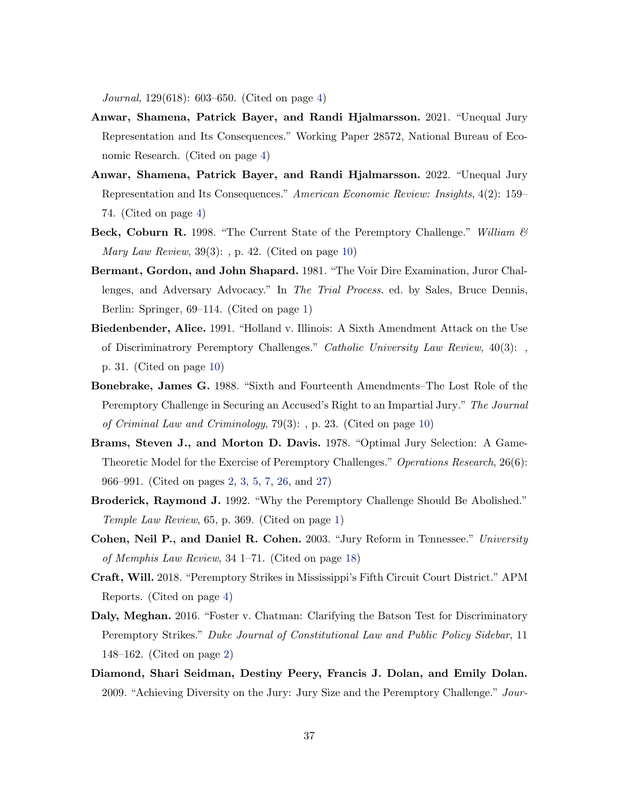Journal, 129(618): 603–650. (Cited on page 4)

- Anwar, Shamena, Patrick Bayer, and Randi Hjalmarsson. 2021. "Unequal Jury Representation and Its Consequences." Working Paper 28572, National Bureau of Economic Research. (Cited on page 4)
- Anwar, Shamena, Patrick Bayer, and Randi Hjalmarsson. 2022. "Unequal Jury Representation and Its Consequences." American Economic Review: Insights, 4(2): 159– 74. (Cited on page 4)
- Beck, Coburn R. 1998. "The Current State of the Peremptory Challenge." William  $\mathcal{B}$ *Mary Law Review*,  $39(3)$ : , p. 42. (Cited on page 10)
- Bermant, Gordon, and John Shapard. 1981. "The Voir Dire Examination, Juror Challenges, and Adversary Advocacy." In The Trial Process. ed. by Sales, Bruce Dennis, Berlin: Springer, 69–114. (Cited on page 1)
- Biedenbender, Alice. 1991. "Holland v. Illinois: A Sixth Amendment Attack on the Use of Discriminatrory Peremptory Challenges." Catholic University Law Review, 40(3): , p. 31. (Cited on page 10)
- Bonebrake, James G. 1988. "Sixth and Fourteenth Amendments–The Lost Role of the Peremptory Challenge in Securing an Accused's Right to an Impartial Jury." The Journal of Criminal Law and Criminology, 79(3): , p. 23. (Cited on page 10)
- Brams, Steven J., and Morton D. Davis. 1978. "Optimal Jury Selection: A Game-Theoretic Model for the Exercise of Peremptory Challenges." Operations Research, 26(6): 966–991. (Cited on pages 2, 3, 5, 7, 26, and 27)
- Broderick, Raymond J. 1992. "Why the Peremptory Challenge Should Be Abolished." Temple Law Review, 65, p. 369. (Cited on page 1)
- Cohen, Neil P., and Daniel R. Cohen. 2003. "Jury Reform in Tennessee." University of Memphis Law Review, 34 1–71. (Cited on page 18)
- Craft, Will. 2018. "Peremptory Strikes in Mississippi's Fifth Circuit Court District." APM Reports. (Cited on page 4)
- Daly, Meghan. 2016. "Foster v. Chatman: Clarifying the Batson Test for Discriminatory Peremptory Strikes." Duke Journal of Constitutional Law and Public Policy Sidebar, 11 148–162. (Cited on page 2)
- Diamond, Shari Seidman, Destiny Peery, Francis J. Dolan, and Emily Dolan. 2009. "Achieving Diversity on the Jury: Jury Size and the Peremptory Challenge." Jour-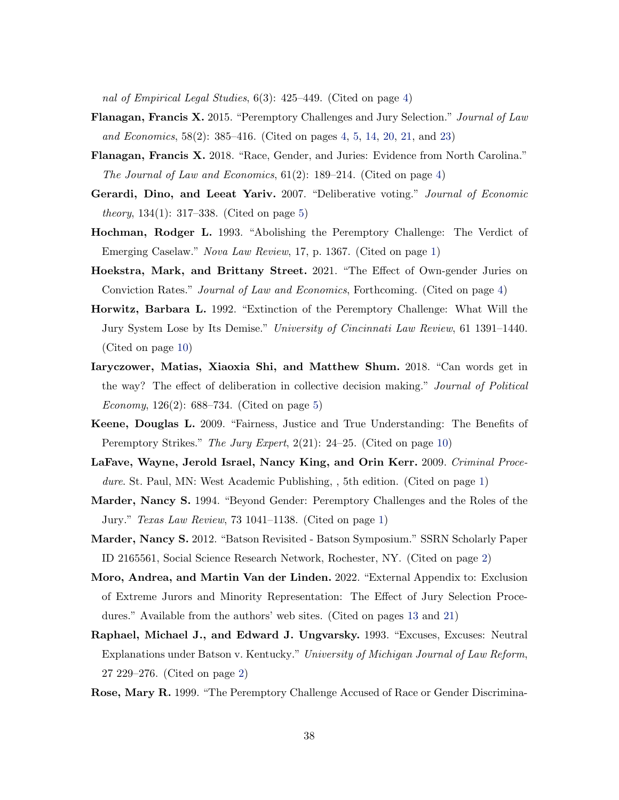nal of Empirical Legal Studies, 6(3): 425–449. (Cited on page 4)

- Flanagan, Francis X. 2015. "Peremptory Challenges and Jury Selection." Journal of Law and Economics, 58(2): 385–416. (Cited on pages 4, 5, 14, 20, 21, and 23)
- Flanagan, Francis X. 2018. "Race, Gender, and Juries: Evidence from North Carolina." The Journal of Law and Economics, 61(2): 189–214. (Cited on page 4)
- Gerardi, Dino, and Leeat Yariv. 2007. "Deliberative voting." Journal of Economic *theory*,  $134(1)$ :  $317-338$ . (Cited on page 5)
- Hochman, Rodger L. 1993. "Abolishing the Peremptory Challenge: The Verdict of Emerging Caselaw." Nova Law Review, 17, p. 1367. (Cited on page 1)
- Hoekstra, Mark, and Brittany Street. 2021. "The Effect of Own-gender Juries on Conviction Rates." Journal of Law and Economics, Forthcoming. (Cited on page 4)
- Horwitz, Barbara L. 1992. "Extinction of the Peremptory Challenge: What Will the Jury System Lose by Its Demise." University of Cincinnati Law Review, 61 1391–1440. (Cited on page 10)
- Iaryczower, Matias, Xiaoxia Shi, and Matthew Shum. 2018. "Can words get in the way? The effect of deliberation in collective decision making." Journal of Political *Economy*,  $126(2)$ : 688–734. (Cited on page 5)
- Keene, Douglas L. 2009. "Fairness, Justice and True Understanding: The Benefits of Peremptory Strikes." The Jury Expert, 2(21): 24–25. (Cited on page 10)
- LaFave, Wayne, Jerold Israel, Nancy King, and Orin Kerr. 2009. Criminal Procedure. St. Paul, MN: West Academic Publishing, , 5th edition. (Cited on page 1)
- Marder, Nancy S. 1994. "Beyond Gender: Peremptory Challenges and the Roles of the Jury." Texas Law Review, 73 1041–1138. (Cited on page 1)
- Marder, Nancy S. 2012. "Batson Revisited Batson Symposium." SSRN Scholarly Paper ID 2165561, Social Science Research Network, Rochester, NY. (Cited on page 2)
- Moro, Andrea, and Martin Van der Linden. 2022. "External Appendix to: Exclusion of Extreme Jurors and Minority Representation: The Effect of Jury Selection Procedures." Available from the authors' web sites. (Cited on pages 13 and 21)
- Raphael, Michael J., and Edward J. Ungvarsky. 1993. "Excuses, Excuses: Neutral Explanations under Batson v. Kentucky." University of Michigan Journal of Law Reform, 27 229–276. (Cited on page 2)
- Rose, Mary R. 1999. "The Peremptory Challenge Accused of Race or Gender Discrimina-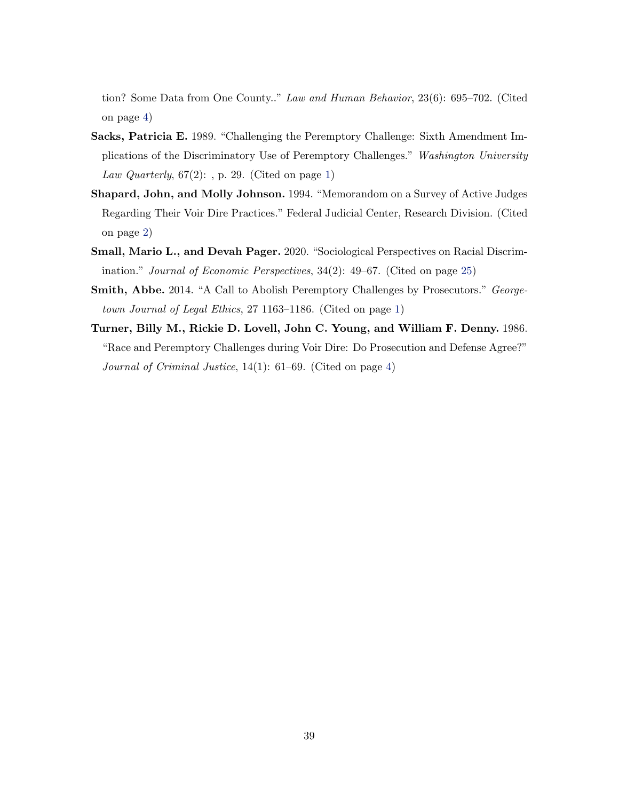tion? Some Data from One County.." Law and Human Behavior, 23(6): 695–702. (Cited on page 4)

- Sacks, Patricia E. 1989. "Challenging the Peremptory Challenge: Sixth Amendment Implications of the Discriminatory Use of Peremptory Challenges." Washington University Law Quarterly,  $67(2)$ : , p. 29. (Cited on page 1)
- Shapard, John, and Molly Johnson. 1994. "Memorandom on a Survey of Active Judges Regarding Their Voir Dire Practices." Federal Judicial Center, Research Division. (Cited on page 2)
- Small, Mario L., and Devah Pager. 2020. "Sociological Perspectives on Racial Discrimination." Journal of Economic Perspectives, 34(2): 49–67. (Cited on page 25)
- Smith, Abbe. 2014. "A Call to Abolish Peremptory Challenges by Prosecutors." Georgetown Journal of Legal Ethics, 27 1163–1186. (Cited on page 1)
- Turner, Billy M., Rickie D. Lovell, John C. Young, and William F. Denny. 1986. "Race and Peremptory Challenges during Voir Dire: Do Prosecution and Defense Agree?" Journal of Criminal Justice, 14(1): 61–69. (Cited on page 4)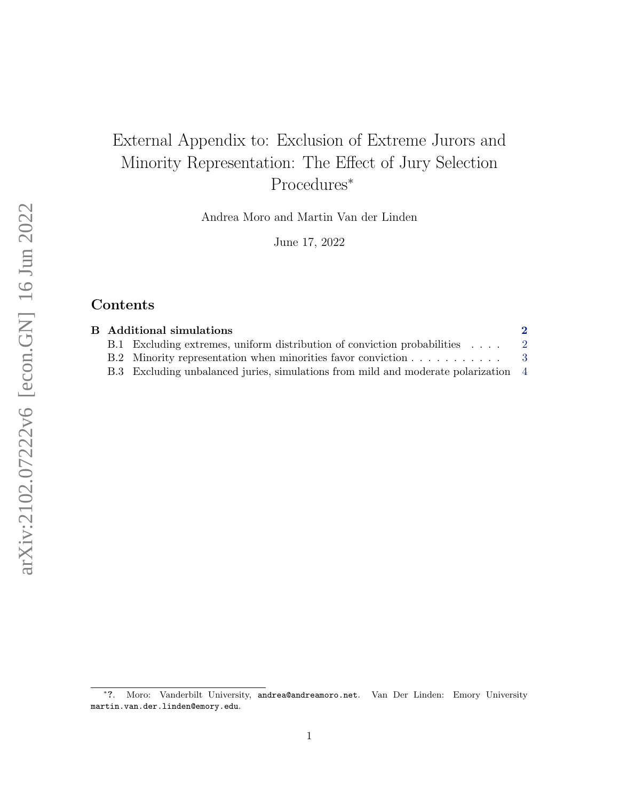# External Appendix to: Exclusion of Extreme Jurors and Minority Representation: The Effect of Jury Selection Procedures<sup>∗</sup>

Andrea Moro and Martin Van der Linden

June 17, 2022

## Contents

|  | <b>B</b> Additional simulations                                                    |                |
|--|------------------------------------------------------------------------------------|----------------|
|  | B.1 Excluding extremes, uniform distribution of conviction probabilities           | $\overline{2}$ |
|  | B.2 Minority representation when minorities favor conviction 3                     |                |
|  | B.3 Excluding unbalanced juries, simulations from mild and moderate polarization 4 |                |

<sup>∗</sup> ?. Moro: Vanderbilt University, andrea@andreamoro.net. Van Der Linden: Emory University martin.van.der.linden@emory.edu.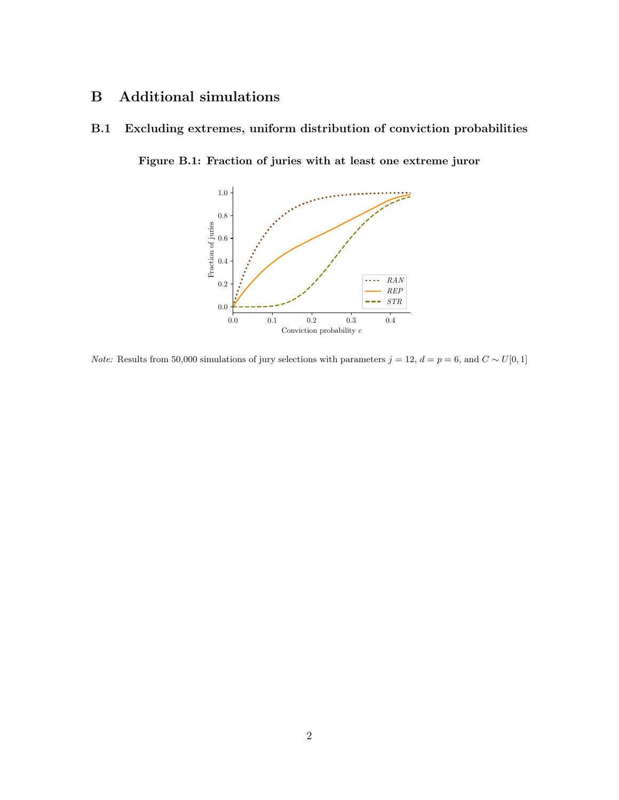## B Additional simulations

## B.1 Excluding extremes, uniform distribution of conviction probabilities

Figure B.1: Fraction of juries with at least one extreme juror



*Note:* Results from 50,000 simulations of jury selections with parameters  $j = 12$ ,  $d = p = 6$ , and  $C \sim U[0, 1]$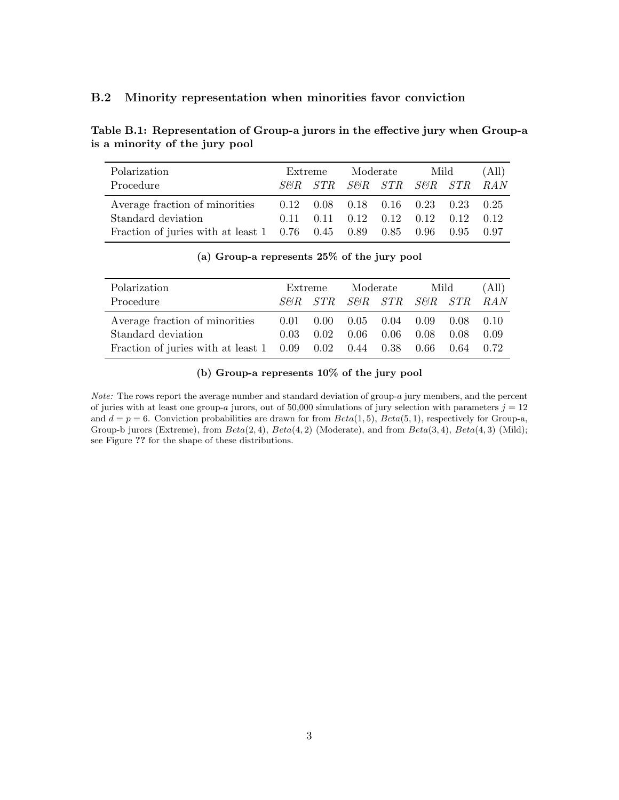#### B.2 Minority representation when minorities favor conviction

Table B.1: Representation of Group-a jurors in the effective jury when Group-a is a minority of the jury pool

| Polarization<br>Procedure                                                                                                                           |                                                   | Extreme | Moderate | Mild<br>S&R STR S&R STR S&R STR RAN |      | (All)                |
|-----------------------------------------------------------------------------------------------------------------------------------------------------|---------------------------------------------------|---------|----------|-------------------------------------|------|----------------------|
| Average fraction of minorities<br>Standard deviation<br>Fraction of juries with at least $1 \quad 0.76 \quad 0.45 \quad 0.89 \quad 0.85 \quad 0.96$ | $0.12$ $0.08$ $0.18$ $0.16$ $0.23$ $0.23$<br>0.11 | 0.11    |          | 0.12 0.12 0.12 0.12                 | 0.95 | 0.25<br>0.12<br>0.97 |

| Polarization                                                                     |      | Extreme        |      | Moderate             |                 | Mild |        |
|----------------------------------------------------------------------------------|------|----------------|------|----------------------|-----------------|------|--------|
| Procedure                                                                        |      | <i>SFR STR</i> |      |                      | S&R STR S&R STR |      | -RAN   |
| Average fraction of minorities                                                   | 0.01 | 0.00           |      | $0.05$ $0.04$ $0.09$ |                 | 0.08 | (0.10) |
| Standard deviation                                                               | 0.03 | 0.02           | 0.06 | 0.06                 | 0.08            | 0.08 | 0.09   |
| Fraction of juries with at least $1 \quad 0.09 \quad 0.02 \quad 0.44 \quad 0.38$ |      |                |      |                      | 0.66            | 0.64 | 0.72   |

(a) Group-a represents 25% of the jury pool

### (b) Group-a represents 10% of the jury pool

Note: The rows report the average number and standard deviation of group-a jury members, and the percent of juries with at least one group-a jurors, out of 50,000 simulations of jury selection with parameters  $j = 12$ and  $d = p = 6$ . Conviction probabilities are drawn for from  $Beta(1, 5)$ ,  $Beta(5, 1)$ , respectively for Group-a, Group-b jurors (Extreme), from  $Beta(2, 4)$ ,  $Beta(4, 2)$  (Moderate), and from  $Beta(3, 4)$ ,  $Beta(4, 3)$  (Mild); see Figure ?? for the shape of these distributions.